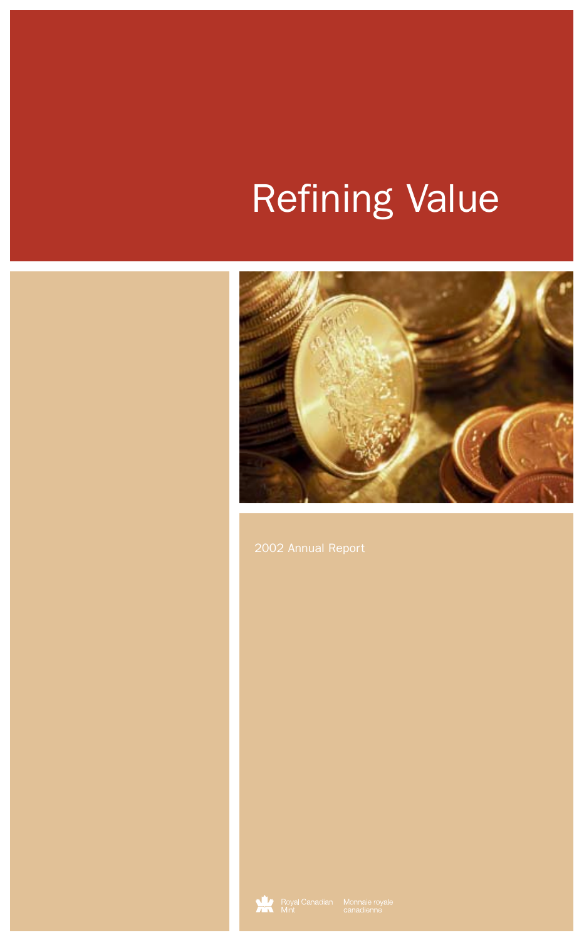# Refining Value



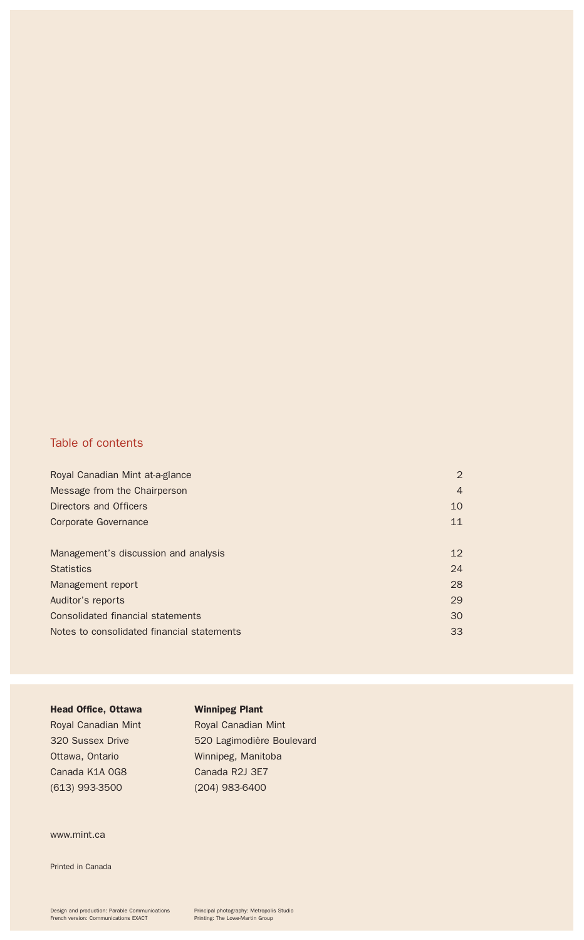#### Table of contents

| Royal Canadian Mint at-a-glance            | $\overline{2}$ |
|--------------------------------------------|----------------|
| Message from the Chairperson               | $\overline{4}$ |
| Directors and Officers                     | 10             |
| Corporate Governance                       | 11             |
|                                            |                |
| Management's discussion and analysis       | 12             |
| <b>Statistics</b>                          | 24             |
| Management report                          | 28             |
| Auditor's reports                          | 29             |
| Consolidated financial statements          | 30             |
| Notes to consolidated financial statements | 33             |
|                                            |                |

#### Head Office, Ottawa Royal Canadian Mint 320 Sussex Drive Ottawa, Ontario Canada K1A 0G8 (613) 993-3500 Winnipeg Plant Royal Canadian Mint 520 Lagimodière Boulevard Winnipeg, Manitoba Canada R2J 3E7 (204) 983-6400

www.mint.ca

Printed in Canada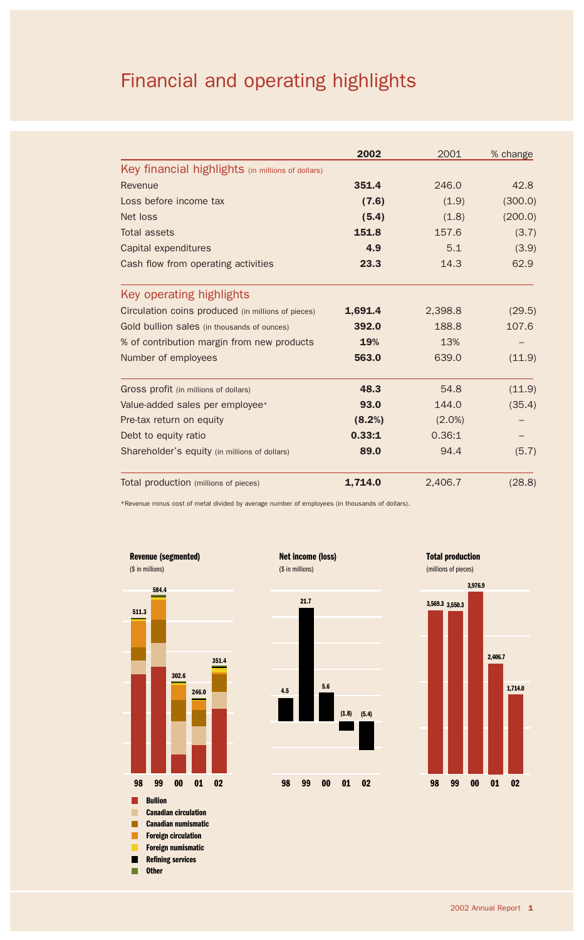## Financial and operating highlights

|                                                    | 2002    | 2001      | % change |
|----------------------------------------------------|---------|-----------|----------|
| Key financial highlights (in millions of dollars)  |         |           |          |
| Revenue                                            | 351.4   | 246.0     | 42.8     |
| Loss before income tax                             | (7.6)   | (1.9)     | (300.0)  |
| Net loss                                           | (5.4)   | (1.8)     | (200.0)  |
| Total assets                                       | 151.8   | 157.6     | (3.7)    |
| Capital expenditures                               | 4.9     | 5.1       | (3.9)    |
| Cash flow from operating activities                | 23.3    | 14.3      | 62.9     |
| Key operating highlights                           |         |           |          |
| Circulation coins produced (in millions of pieces) | 1,691.4 | 2,398.8   | (29.5)   |
| Gold bullion sales (in thousands of ounces)        | 392.0   | 188.8     | 107.6    |
| % of contribution margin from new products         | 19%     | 13%       |          |
| Number of employees                                | 563.0   | 639.0     | (11.9)   |
| Gross profit (in millions of dollars)              | 48.3    | 54.8      | (11.9)   |
| Value-added sales per employee*                    | 93.0    | 144.0     | (35.4)   |
| Pre-tax return on equity                           | (8.2%)  | $(2.0\%)$ |          |
| Debt to equity ratio                               | 0.33:1  | 0.36:1    |          |
| Shareholder's equity (in millions of dollars)      | 89.0    | 94.4      | (5.7)    |
| Total production (millions of pieces)              | 1,714.0 | 2,406.7   | (28.8)   |

\*Revenue minus cost of metal divided by average number of employees (in thousands of dollars).





**4.5**

**98 01 02 99 00**

**5.6**

**(1.8) (5.4)**



(millions of pieces)

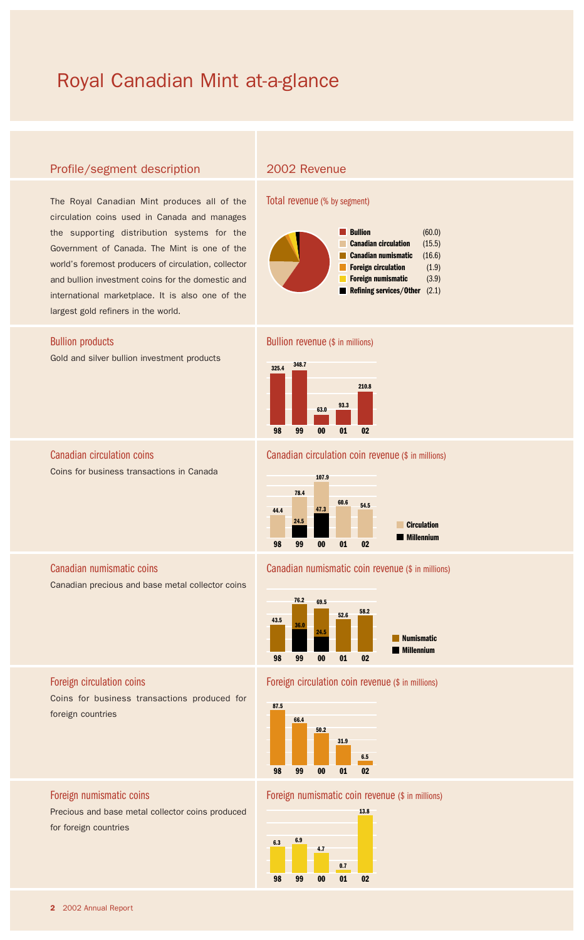### Royal Canadian Mint at-a-glance

#### Profile/segment description

The Royal Canadian Mint produces all of the circulation coins used in Canada and manages the supporting distribution systems for the Government of Canada. The Mint is one of the world's foremost producers of circulation, collector and bullion investment coins for the domestic and international marketplace. It is also one of the largest gold refiners in the world.

#### Bullion products

Gold and silver bullion investment products

Canadian circulation coins Coins for business transactions in Canada

#### Canadian numismatic coins

Canadian precious and base metal collector coins

#### Foreign circulation coins

Coins for business transactions produced for foreign countries

### Total revenue (% by segment)

2002 Revenue



#### Bullion revenue (\$ in millions)



#### Canadian circulation coin revenue (\$ in millions)



#### Canadian numismatic coin revenue (\$ in millions)



#### Foreign circulation coin revenue (\$ in millions)



#### Foreign numismatic coin revenue (\$ in millions)



Foreign numismatic coins

Precious and base metal collector coins produced for foreign countries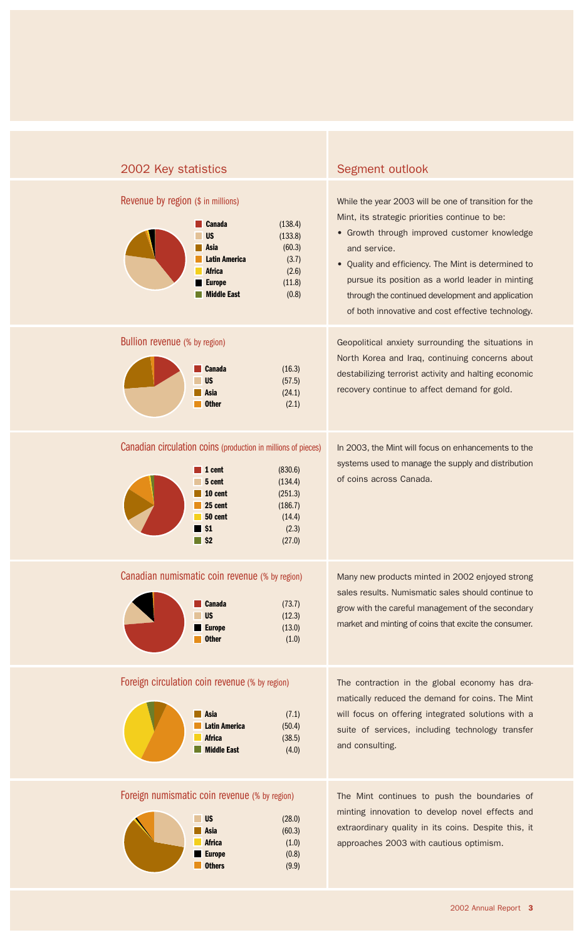| 2002 Key statistics                                                                                                                                                                                                                     | Segment outlook                                                                                                                                                                                                                                                                                                                                                                              |
|-----------------------------------------------------------------------------------------------------------------------------------------------------------------------------------------------------------------------------------------|----------------------------------------------------------------------------------------------------------------------------------------------------------------------------------------------------------------------------------------------------------------------------------------------------------------------------------------------------------------------------------------------|
| Revenue by region (\$ in millions)<br>(138.4)<br><b>Canada</b><br><b>US</b><br>(133.8)<br>Asia<br>(60.3)<br><b>Latin America</b><br>(3.7)<br><b>Africa</b><br>(2.6)<br><b>Europe</b><br>(11.8)<br><b>Middle East</b><br>(0.8)           | While the year 2003 will be one of transition for the<br>Mint, its strategic priorities continue to be:<br>• Growth through improved customer knowledge<br>and service.<br>• Quality and efficiency. The Mint is determined to<br>pursue its position as a world leader in minting<br>through the continued development and application<br>of both innovative and cost effective technology. |
| Bullion revenue (% by region)<br><b>Canada</b><br>(16.3)<br><b>US</b><br>(57.5)<br>Asia<br>(24.1)<br><b>Other</b><br>(2.1)                                                                                                              | Geopolitical anxiety surrounding the situations in<br>North Korea and Iraq, continuing concerns about<br>destabilizing terrorist activity and halting economic<br>recovery continue to affect demand for gold.                                                                                                                                                                               |
| Canadian circulation coins (production in millions of pieces)<br>(830.6)<br>1 cent<br>(134.4)<br>5 cent<br>10 cent<br>(251.3)<br>25 cent<br>(186.7)<br>50 cent<br>(14.4)<br>$\blacksquare$ \$1<br>(2.3)<br>$\blacksquare$ \$2<br>(27.0) | In 2003, the Mint will focus on enhancements to the<br>systems used to manage the supply and distribution<br>of coins across Canada.                                                                                                                                                                                                                                                         |
| Canadian numismatic coin revenue (% by region)<br>(73.7)<br>Canada<br><b>US</b><br>(12.3)<br><b>Europe</b><br>(13.0)<br><b>Other</b><br>(1.0)                                                                                           | Many new products minted in 2002 enjoyed strong<br>sales results. Numismatic sales should continue to<br>grow with the careful management of the secondary<br>market and minting of coins that excite the consumer.                                                                                                                                                                          |
| Foreign circulation coin revenue (% by region)<br>(7.1)<br>Asia<br><b>Latin America</b><br>(50.4)<br><b>Africa</b><br>(38.5)<br><b>Middle East</b><br>(4.0)                                                                             | The contraction in the global economy has dra-<br>matically reduced the demand for coins. The Mint<br>will focus on offering integrated solutions with a<br>suite of services, including technology transfer<br>and consulting.                                                                                                                                                              |
| Foreign numismatic coin revenue (% by region)<br>(0.0)                                                                                                                                                                                  | The Mint continues to push the boundaries of<br>minting innovation to develop novel effects and                                                                                                                                                                                                                                                                                              |

**US Asia Africa Europe Others** (28.0) (60.3) (1.0) (0.8) (9.9)

extraordinary quality in its coins. Despite this, it approaches 2003 with cautious optimism.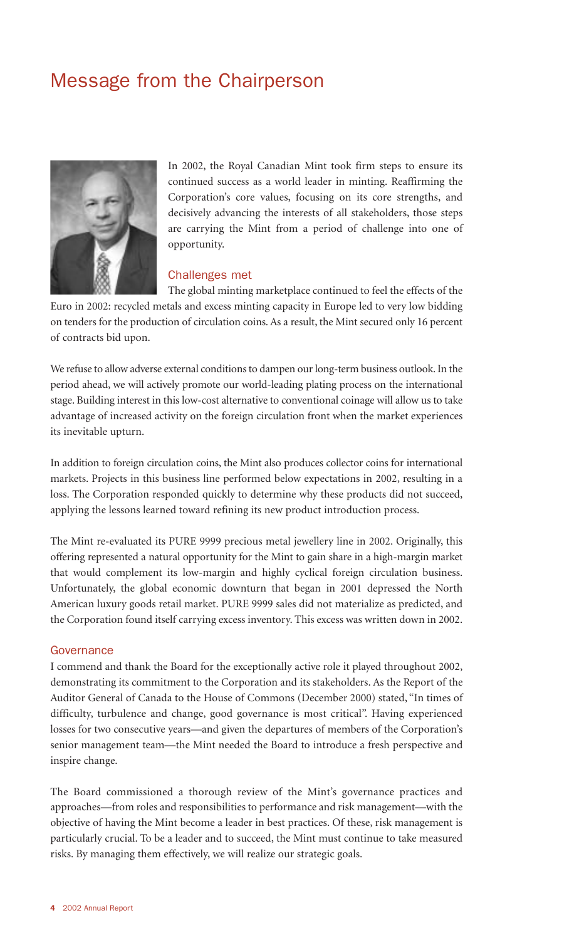### Message from the Chairperson



In 2002, the Royal Canadian Mint took firm steps to ensure its continued success as a world leader in minting. Reaffirming the Corporation's core values, focusing on its core strengths, and decisively advancing the interests of all stakeholders, those steps are carrying the Mint from a period of challenge into one of opportunity.

#### Challenges met

The global minting marketplace continued to feel the effects of the Euro in 2002: recycled metals and excess minting capacity in Europe led to very low bidding on tenders for the production of circulation coins. As a result, the Mint secured only 16 percent of contracts bid upon.

We refuse to allow adverse external conditions to dampen our long-term business outlook. In the period ahead, we will actively promote our world-leading plating process on the international stage. Building interest in this low-cost alternative to conventional coinage will allow us to take advantage of increased activity on the foreign circulation front when the market experiences its inevitable upturn.

In addition to foreign circulation coins, the Mint also produces collector coins for international markets. Projects in this business line performed below expectations in 2002, resulting in a loss. The Corporation responded quickly to determine why these products did not succeed, applying the lessons learned toward refining its new product introduction process.

The Mint re-evaluated its PURE 9999 precious metal jewellery line in 2002. Originally, this offering represented a natural opportunity for the Mint to gain share in a high-margin market that would complement its low-margin and highly cyclical foreign circulation business. Unfortunately, the global economic downturn that began in 2001 depressed the North American luxury goods retail market. PURE 9999 sales did not materialize as predicted, and the Corporation found itself carrying excess inventory. This excess was written down in 2002.

#### **Governance**

I commend and thank the Board for the exceptionally active role it played throughout 2002, demonstrating its commitment to the Corporation and its stakeholders. As the Report of the Auditor General of Canada to the House of Commons (December 2000) stated, "In times of difficulty, turbulence and change, good governance is most critical". Having experienced losses for two consecutive years—and given the departures of members of the Corporation's senior management team—the Mint needed the Board to introduce a fresh perspective and inspire change.

The Board commissioned a thorough review of the Mint's governance practices and approaches—from roles and responsibilities to performance and risk management—with the objective of having the Mint become a leader in best practices. Of these, risk management is particularly crucial. To be a leader and to succeed, the Mint must continue to take measured risks. By managing them effectively, we will realize our strategic goals.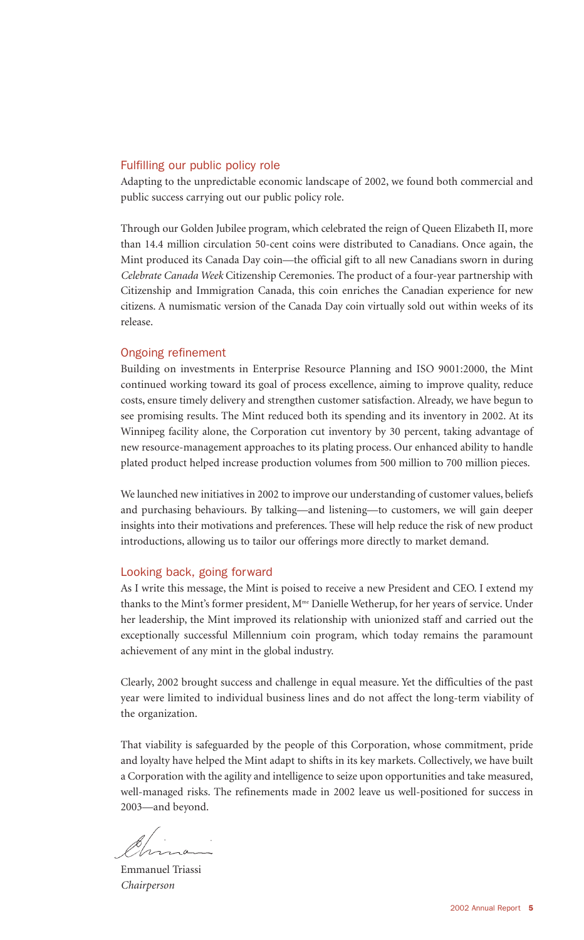#### Fulfilling our public policy role

Adapting to the unpredictable economic landscape of 2002, we found both commercial and public success carrying out our public policy role.

Through our Golden Jubilee program, which celebrated the reign of Queen Elizabeth II, more than 14.4 million circulation 50-cent coins were distributed to Canadians. Once again, the Mint produced its Canada Day coin—the official gift to all new Canadians sworn in during *Celebrate Canada Week* Citizenship Ceremonies. The product of a four-year partnership with Citizenship and Immigration Canada, this coin enriches the Canadian experience for new citizens. A numismatic version of the Canada Day coin virtually sold out within weeks of its release.

#### Ongoing refinement

Building on investments in Enterprise Resource Planning and ISO 9001:2000, the Mint continued working toward its goal of process excellence, aiming to improve quality, reduce costs, ensure timely delivery and strengthen customer satisfaction. Already, we have begun to see promising results. The Mint reduced both its spending and its inventory in 2002. At its Winnipeg facility alone, the Corporation cut inventory by 30 percent, taking advantage of new resource-management approaches to its plating process. Our enhanced ability to handle plated product helped increase production volumes from 500 million to 700 million pieces.

We launched new initiatives in 2002 to improve our understanding of customer values, beliefs and purchasing behaviours. By talking—and listening—to customers, we will gain deeper insights into their motivations and preferences. These will help reduce the risk of new product introductions, allowing us to tailor our offerings more directly to market demand.

#### Looking back, going forward

As I write this message, the Mint is poised to receive a new President and CEO. I extend my thanks to the Mint's former president, M<sup>me</sup> Danielle Wetherup, for her years of service. Under her leadership, the Mint improved its relationship with unionized staff and carried out the exceptionally successful Millennium coin program, which today remains the paramount achievement of any mint in the global industry.

Clearly, 2002 brought success and challenge in equal measure. Yet the difficulties of the past year were limited to individual business lines and do not affect the long-term viability of the organization.

That viability is safeguarded by the people of this Corporation, whose commitment, pride and loyalty have helped the Mint adapt to shifts in its key markets. Collectively, we have built a Corporation with the agility and intelligence to seize upon opportunities and take measured, well-managed risks. The refinements made in 2002 leave us well-positioned for success in 2003—and beyond.

Emmanuel Triassi *Chairperson*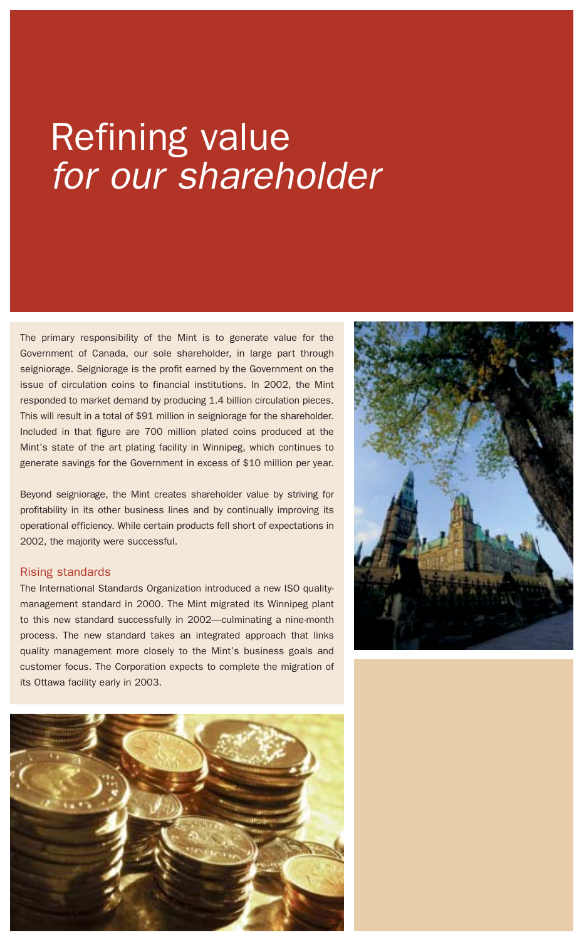# Refining value *for our shareholder*

The primary responsibility of the Mint is to generate value for the Government of Canada, our sole shareholder, in large part through seigniorage. Seigniorage is the profit earned by the Government on the issue of circulation coins to financial institutions. In 2002, the Mint responded to market demand by producing 1.4 billion circulation pieces. This will result in a total of \$91 million in seigniorage for the shareholder. Included in that figure are 700 million plated coins produced at the Mint's state of the art plating facility in Winnipeg, which continues to generate savings for the Government in excess of \$10 million per year.

Beyond seigniorage, the Mint creates shareholder value by striving for profitability in its other business lines and by continually improving its operational efficiency. While certain products fell short of expectations in 2002, the majority were successful.

#### Rising standards

The International Standards Organization introduced a new ISO qualitymanagement standard in 2000. The Mint migrated its Winnipeg plant to this new standard successfully in 2002—culminating a nine-month process. The new standard takes an integrated approach that links quality management more closely to the Mint's business goals and customer focus. The Corporation expects to complete the migration of its Ottawa facility early in 2003.



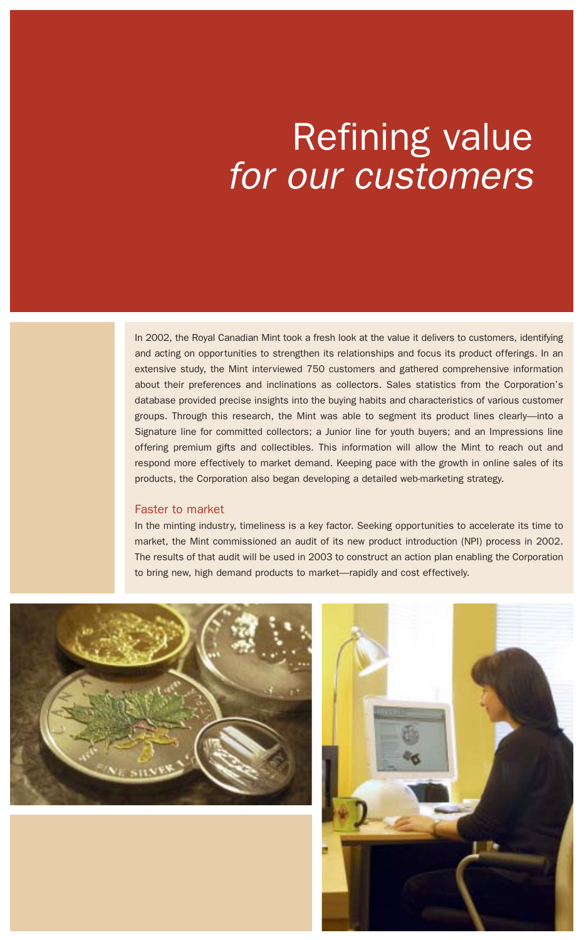# Refining value *for our customers*

In 2002, the Royal Canadian Mint took a fresh look at the value it delivers to customers, identifying and acting on opportunities to strengthen its relationships and focus its product offerings. In an extensive study, the Mint interviewed 750 customers and gathered comprehensive information about their preferences and inclinations as collectors. Sales statistics from the Corporation's database provided precise insights into the buying habits and characteristics of various customer groups. Through this research, the Mint was able to segment its product lines clearly—into a Signature line for committed collectors; a Junior line for youth buyers; and an Impressions line offering premium gifts and collectibles. This information will allow the Mint to reach out and respond more effectively to market demand. Keeping pace with the growth in online sales of its products, the Corporation also began developing a detailed web-marketing strategy.

#### Faster to market

In the minting industry, timeliness is a key factor. Seeking opportunities to accelerate its time to market, the Mint commissioned an audit of its new product introduction (NPI) process in 2002. The results of that audit will be used in 2003 to construct an action plan enabling the Corporation to bring new, high demand products to market—rapidly and cost effectively.



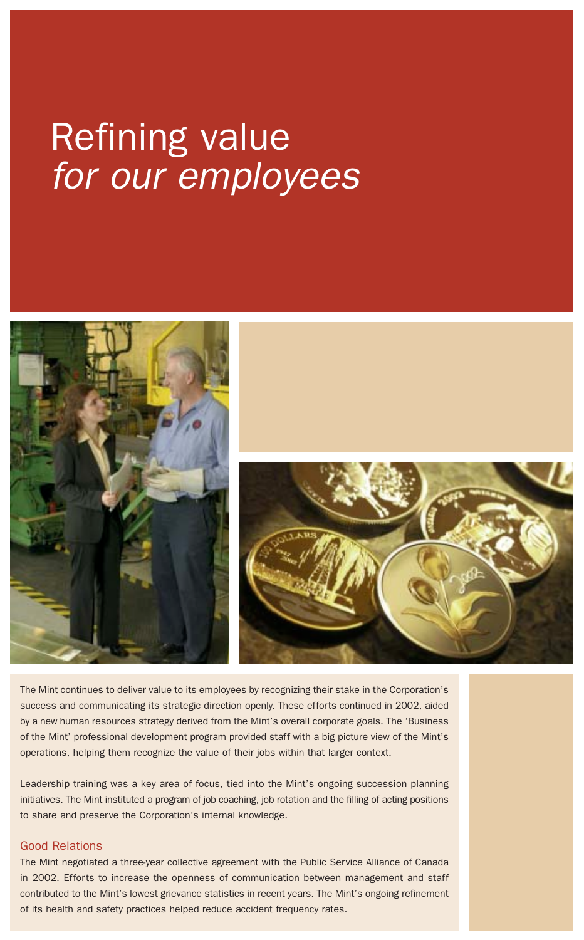# Refining value *for our employees*



The Mint continues to deliver value to its employees by recognizing their stake in the Corporation's success and communicating its strategic direction openly. These efforts continued in 2002, aided by a new human resources strategy derived from the Mint's overall corporate goals. The 'Business of the Mint' professional development program provided staff with a big picture view of the Mint's operations, helping them recognize the value of their jobs within that larger context.

Leadership training was a key area of focus, tied into the Mint's ongoing succession planning initiatives. The Mint instituted a program of job coaching, job rotation and the filling of acting positions to share and preserve the Corporation's internal knowledge.

#### Good Relations

The Mint negotiated a three-year collective agreement with the Public Service Alliance of Canada in 2002. Efforts to increase the openness of communication between management and staff contributed to the Mint's lowest grievance statistics in recent years. The Mint's ongoing refinement of its health and safety practices helped reduce accident frequency rates.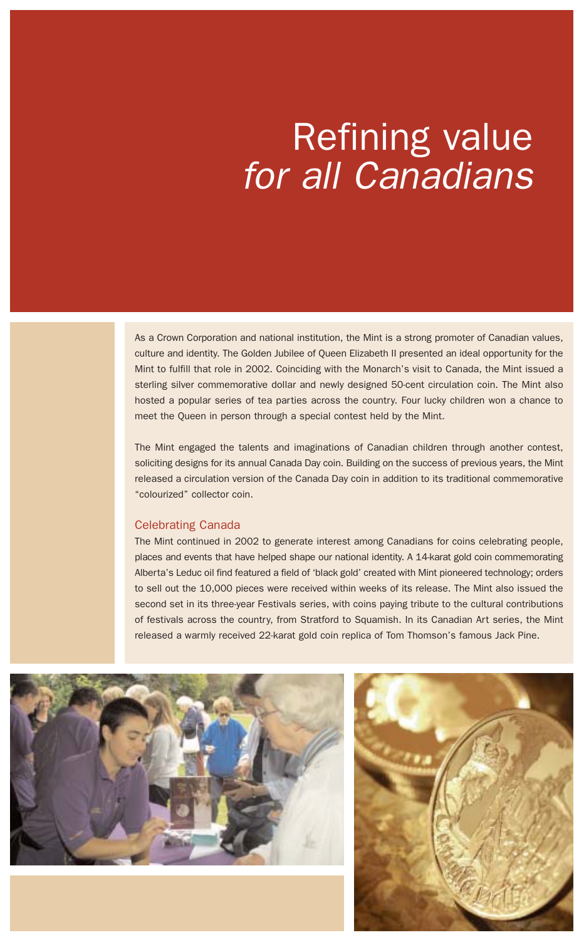# Refining value *for all Canadians*

As a Crown Corporation and national institution, the Mint is a strong promoter of Canadian values, culture and identity. The Golden Jubilee of Queen Elizabeth II presented an ideal opportunity for the Mint to fulfill that role in 2002. Coinciding with the Monarch's visit to Canada, the Mint issued a sterling silver commemorative dollar and newly designed 50-cent circulation coin. The Mint also hosted a popular series of tea parties across the country. Four lucky children won a chance to meet the Queen in person through a special contest held by the Mint.

The Mint engaged the talents and imaginations of Canadian children through another contest, soliciting designs for its annual Canada Day coin. Building on the success of previous years, the Mint released a circulation version of the Canada Day coin in addition to its traditional commemorative "colourized" collector coin.

#### Celebrating Canada

The Mint continued in 2002 to generate interest among Canadians for coins celebrating people, places and events that have helped shape our national identity. A 14-karat gold coin commemorating Alberta's Leduc oil find featured a field of 'black gold' created with Mint pioneered technology; orders to sell out the 10,000 pieces were received within weeks of its release. The Mint also issued the second set in its three-year Festivals series, with coins paying tribute to the cultural contributions of festivals across the country, from Stratford to Squamish. In its Canadian Art series, the Mint released a warmly received 22-karat gold coin replica of Tom Thomson's famous Jack Pine.



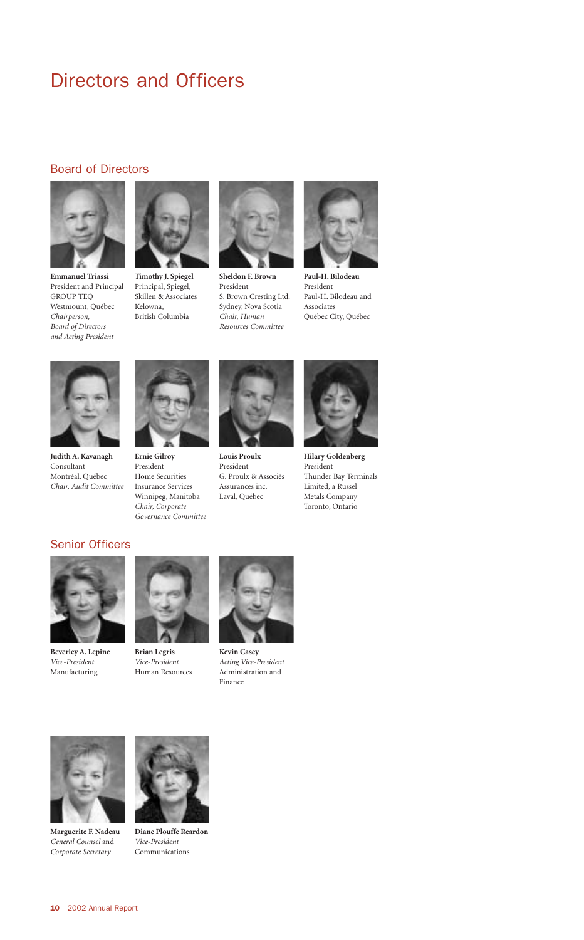### Directors and Officers

#### Board of Directors



**Emmanuel Triassi**  President and Principal GROUP TEQ Westmount, Québec *Chairperson, Board of Directors and Acting President*



**Timothy J. Spiegel**  Principal, Spiegel, Skillen & Associates Kelowna, British Columbia



**Sheldon F. Brown**  President S. Brown Cresting Ltd. Sydney, Nova Scotia *Chair, Human Resources Committee* 



**Paul-H. Bilodeau**  President Paul-H. Bilodeau and Associates Québec City, Québec



**Judith A. Kavanagh**  Consultant Montréal, Québec *Chair, Audit Committee*



**Ernie Gilroy**  President Home Securities Insurance Services Winnipeg, Manitoba *Chair, Corporate Governance Committee*



**Louis Proulx** President G. Proulx & Associés Assurances inc. Laval, Québec



**Hilary Goldenberg** President Thunder Bay Terminals Limited, a Russel Metals Company Toronto, Ontario

#### Senior Officers



**Beverley A. Lepine** *Vice-President* Manufacturing



**Brian Legris** *Vice-President* Human Resources



**Kevin Casey** *Acting Vice-President* Administration and Finance



**Marguerite F. Nadeau** *General Counsel* and *Corporate Secretary*



**Diane Plouffe Reardon** *Vice-President* Communications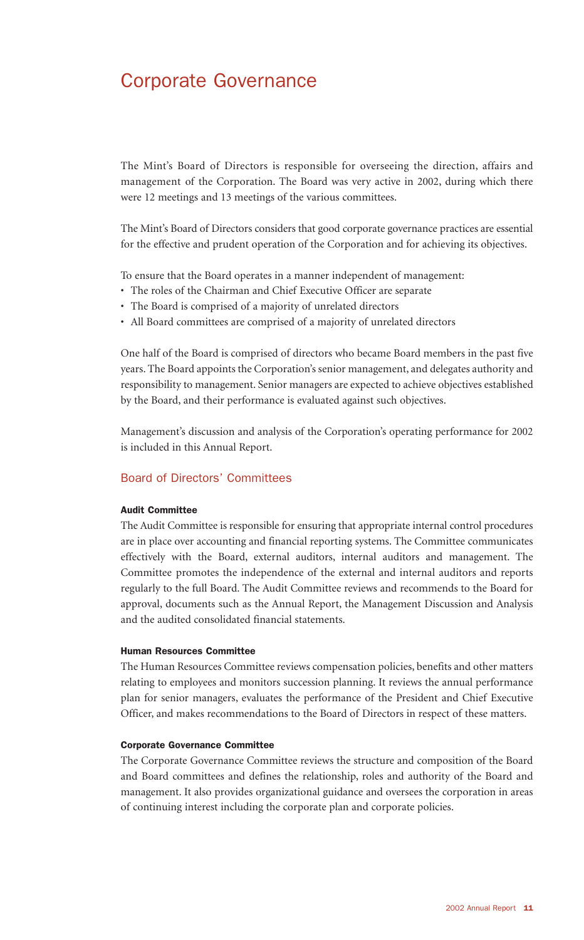### Corporate Governance

The Mint's Board of Directors is responsible for overseeing the direction, affairs and management of the Corporation. The Board was very active in 2002, during which there were 12 meetings and 13 meetings of the various committees.

The Mint's Board of Directors considers that good corporate governance practices are essential for the effective and prudent operation of the Corporation and for achieving its objectives.

To ensure that the Board operates in a manner independent of management:

- The roles of the Chairman and Chief Executive Officer are separate
- The Board is comprised of a majority of unrelated directors
- All Board committees are comprised of a majority of unrelated directors

One half of the Board is comprised of directors who became Board members in the past five years. The Board appoints the Corporation's senior management, and delegates authority and responsibility to management. Senior managers are expected to achieve objectives established by the Board, and their performance is evaluated against such objectives.

Management's discussion and analysis of the Corporation's operating performance for 2002 is included in this Annual Report.

#### Board of Directors' Committees

#### Audit Committee

The Audit Committee is responsible for ensuring that appropriate internal control procedures are in place over accounting and financial reporting systems. The Committee communicates effectively with the Board, external auditors, internal auditors and management. The Committee promotes the independence of the external and internal auditors and reports regularly to the full Board. The Audit Committee reviews and recommends to the Board for approval, documents such as the Annual Report, the Management Discussion and Analysis and the audited consolidated financial statements.

#### Human Resources Committee

The Human Resources Committee reviews compensation policies, benefits and other matters relating to employees and monitors succession planning. It reviews the annual performance plan for senior managers, evaluates the performance of the President and Chief Executive Officer, and makes recommendations to the Board of Directors in respect of these matters.

#### Corporate Governance Committee

The Corporate Governance Committee reviews the structure and composition of the Board and Board committees and defines the relationship, roles and authority of the Board and management. It also provides organizational guidance and oversees the corporation in areas of continuing interest including the corporate plan and corporate policies.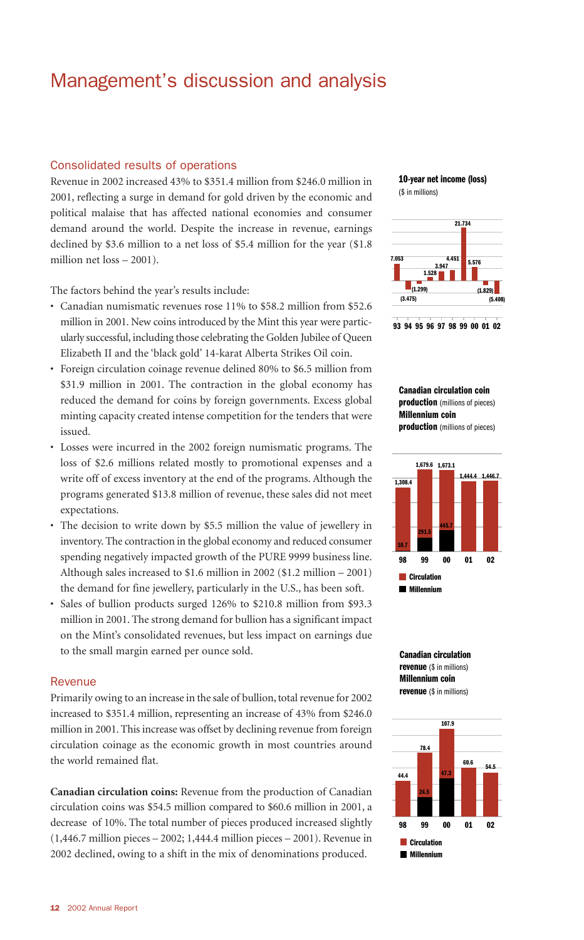### Management's discussion and analysis

#### Consolidated results of operations

Revenue in 2002 increased 43% to \$351.4 million from \$246.0 million in 2001, reflecting a surge in demand for gold driven by the economic and political malaise that has affected national economies and consumer demand around the world. Despite the increase in revenue, earnings declined by \$3.6 million to a net loss of \$5.4 million for the year (\$1.8 million net loss – 2001).

The factors behind the year's results include:

- Canadian numismatic revenues rose 11% to \$58.2 million from \$52.6 million in 2001. New coins introduced by the Mint this year were particularly successful, including those celebrating the Golden Jubilee of Queen Elizabeth II and the 'black gold' 14-karat Alberta Strikes Oil coin.
- Foreign circulation coinage revenue delined 80% to \$6.5 million from \$31.9 million in 2001. The contraction in the global economy has reduced the demand for coins by foreign governments. Excess global minting capacity created intense competition for the tenders that were issued.
- Losses were incurred in the 2002 foreign numismatic programs. The loss of \$2.6 millions related mostly to promotional expenses and a write off of excess inventory at the end of the programs. Although the programs generated \$13.8 million of revenue, these sales did not meet expectations.
- The decision to write down by \$5.5 million the value of jewellery in inventory. The contraction in the global economy and reduced consumer spending negatively impacted growth of the PURE 9999 business line. Although sales increased to \$1.6 million in 2002 (\$1.2 million – 2001) the demand for fine jewellery, particularly in the U.S., has been soft.
- Sales of bullion products surged 126% to \$210.8 million from \$93.3 million in 2001. The strong demand for bullion has a significant impact on the Mint's consolidated revenues, but less impact on earnings due to the small margin earned per ounce sold.

#### **Revenue**

Primarily owing to an increase in the sale of bullion, total revenue for 2002 increased to \$351.4 million, representing an increase of 43% from \$246.0 million in 2001. This increase was offset by declining revenue from foreign circulation coinage as the economic growth in most countries around the world remained flat.

**Canadian circulation coins:** Revenue from the production of Canadian circulation coins was \$54.5 million compared to \$60.6 million in 2001, a decrease of 10%. The total number of pieces produced increased slightly (1,446.7 million pieces – 2002; 1,444.4 million pieces – 2001). Revenue in 2002 declined, owing to a shift in the mix of denominations produced.

**10-year net income (loss)** (\$ in millions)





**Canadian circulation coin production** (millions of pieces) **Millennium coin production** (millions of pieces)





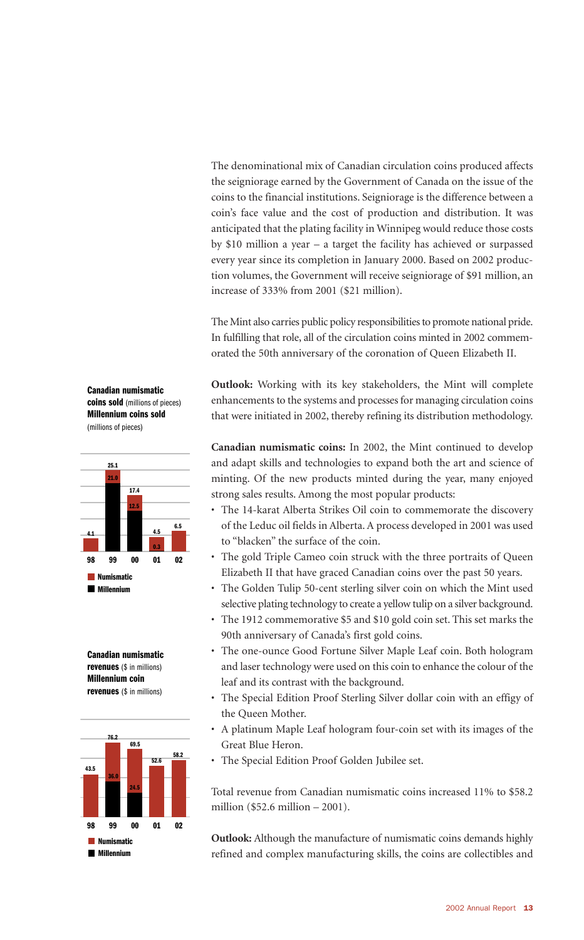The denominational mix of Canadian circulation coins produced affects the seigniorage earned by the Government of Canada on the issue of the coins to the financial institutions. Seigniorage is the difference between a coin's face value and the cost of production and distribution. It was anticipated that the plating facility in Winnipeg would reduce those costs by \$10 million a year – a target the facility has achieved or surpassed every year since its completion in January 2000. Based on 2002 production volumes, the Government will receive seigniorage of \$91 million, an increase of 333% from 2001 (\$21 million).

The Mint also carries public policy responsibilities to promote national pride. In fulfilling that role, all of the circulation coins minted in 2002 commemorated the 50th anniversary of the coronation of Queen Elizabeth II.

**Outlook:** Working with its key stakeholders, the Mint will complete enhancements to the systems and processes for managing circulation coins that were initiated in 2002, thereby refining its distribution methodology.

**Canadian numismatic coins:** In 2002, the Mint continued to develop and adapt skills and technologies to expand both the art and science of minting. Of the new products minted during the year, many enjoyed strong sales results. Among the most popular products:

- The 14-karat Alberta Strikes Oil coin to commemorate the discovery of the Leduc oil fields in Alberta. A process developed in 2001 was used to "blacken" the surface of the coin.
- The gold Triple Cameo coin struck with the three portraits of Queen Elizabeth II that have graced Canadian coins over the past 50 years.
- The Golden Tulip 50-cent sterling silver coin on which the Mint used selective plating technology to create a yellow tulip on a silver background.
- The 1912 commemorative \$5 and \$10 gold coin set. This set marks the 90th anniversary of Canada's first gold coins.
- The one-ounce Good Fortune Silver Maple Leaf coin. Both hologram and laser technology were used on this coin to enhance the colour of the leaf and its contrast with the background.
- The Special Edition Proof Sterling Silver dollar coin with an effigy of the Queen Mother.
- A platinum Maple Leaf hologram four-coin set with its images of the Great Blue Heron.
- The Special Edition Proof Golden Jubilee set.

Total revenue from Canadian numismatic coins increased 11% to \$58.2 million (\$52.6 million – 2001).

**Outlook:** Although the manufacture of numismatic coins demands highly refined and complex manufacturing skills, the coins are collectibles and

**Canadian numismatic coins sold** (millions of pieces) **Millennium coins sold**  (millions of pieces)





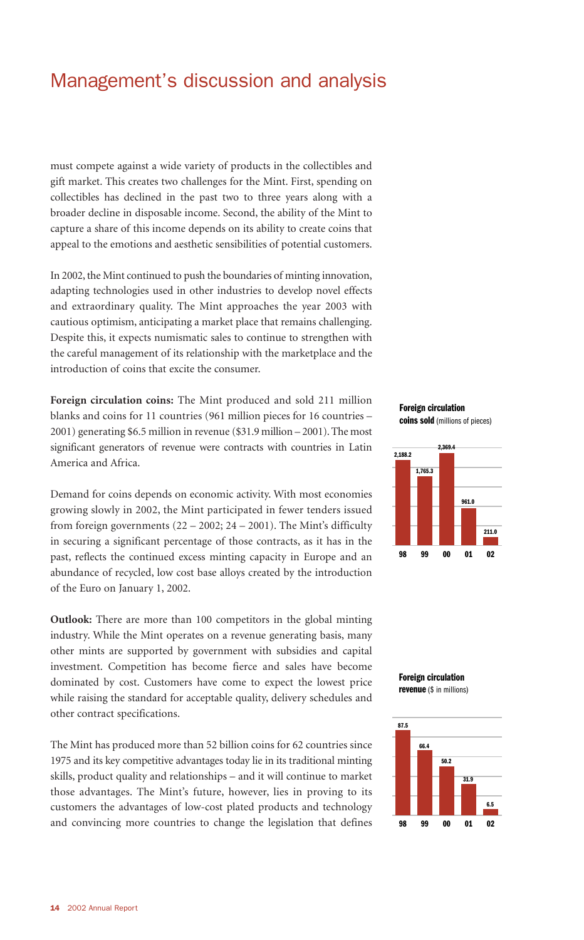### Management's discussion and analysis

must compete against a wide variety of products in the collectibles and gift market. This creates two challenges for the Mint. First, spending on collectibles has declined in the past two to three years along with a broader decline in disposable income. Second, the ability of the Mint to capture a share of this income depends on its ability to create coins that appeal to the emotions and aesthetic sensibilities of potential customers.

In 2002, the Mint continued to push the boundaries of minting innovation, adapting technologies used in other industries to develop novel effects and extraordinary quality. The Mint approaches the year 2003 with cautious optimism, anticipating a market place that remains challenging. Despite this, it expects numismatic sales to continue to strengthen with the careful management of its relationship with the marketplace and the introduction of coins that excite the consumer.

**Foreign circulation coins:** The Mint produced and sold 211 million blanks and coins for 11 countries (961 million pieces for 16 countries – 2001) generating \$6.5 million in revenue (\$31.9 million – 2001). The most significant generators of revenue were contracts with countries in Latin America and Africa.

Demand for coins depends on economic activity. With most economies growing slowly in 2002, the Mint participated in fewer tenders issued from foreign governments  $(22 – 2002; 24 – 2001)$ . The Mint's difficulty in securing a significant percentage of those contracts, as it has in the past, reflects the continued excess minting capacity in Europe and an abundance of recycled, low cost base alloys created by the introduction of the Euro on January 1, 2002.

**Outlook:** There are more than 100 competitors in the global minting industry. While the Mint operates on a revenue generating basis, many other mints are supported by government with subsidies and capital investment. Competition has become fierce and sales have become dominated by cost. Customers have come to expect the lowest price while raising the standard for acceptable quality, delivery schedules and other contract specifications.

The Mint has produced more than 52 billion coins for 62 countries since 1975 and its key competitive advantages today lie in its traditional minting skills, product quality and relationships – and it will continue to market those advantages. The Mint's future, however, lies in proving to its customers the advantages of low-cost plated products and technology and convincing more countries to change the legislation that defines

**Foreign circulation coins sold**(millions of pieces)





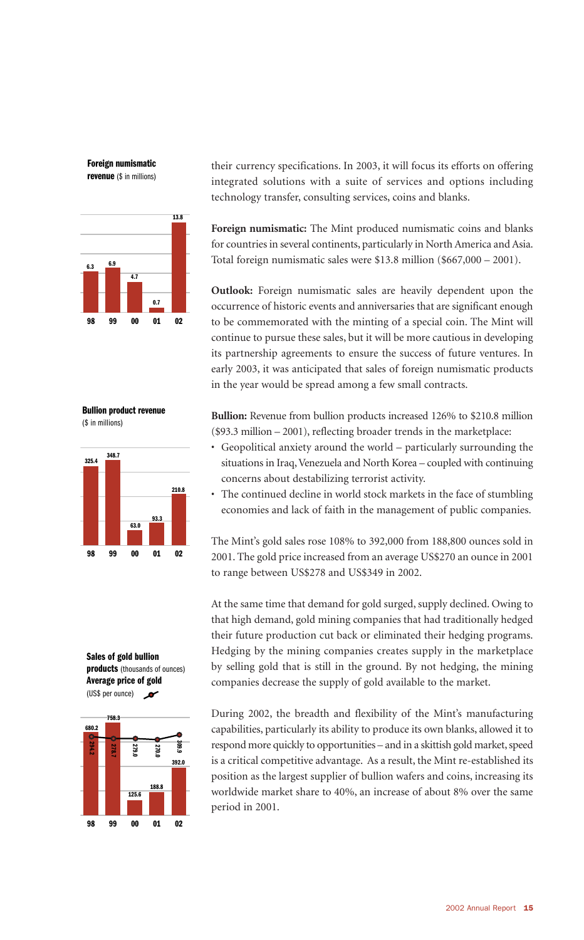**Foreign numismatic revenue** (\$ in millions)



**Bullion product revenue**  (\$ in millions)



**Sales of gold bullion products** (thousands of ounces) **Average price of gold** (US\$ per ounce)  $\mathbf{r}$ 



their currency specifications. In 2003, it will focus its efforts on offering integrated solutions with a suite of services and options including technology transfer, consulting services, coins and blanks.

**Foreign numismatic:** The Mint produced numismatic coins and blanks for countries in several continents, particularly in North America and Asia. Total foreign numismatic sales were \$13.8 million (\$667,000 – 2001).

**Outlook:** Foreign numismatic sales are heavily dependent upon the occurrence of historic events and anniversaries that are significant enough to be commemorated with the minting of a special coin. The Mint will continue to pursue these sales, but it will be more cautious in developing its partnership agreements to ensure the success of future ventures. In early 2003, it was anticipated that sales of foreign numismatic products in the year would be spread among a few small contracts.

**Bullion:** Revenue from bullion products increased 126% to \$210.8 million (\$93.3 million – 2001), reflecting broader trends in the marketplace:

- Geopolitical anxiety around the world particularly surrounding the situations in Iraq, Venezuela and North Korea – coupled with continuing concerns about destabilizing terrorist activity.
- The continued decline in world stock markets in the face of stumbling economies and lack of faith in the management of public companies.

The Mint's gold sales rose 108% to 392,000 from 188,800 ounces sold in 2001. The gold price increased from an average US\$270 an ounce in 2001 to range between US\$278 and US\$349 in 2002.

At the same time that demand for gold surged, supply declined. Owing to that high demand, gold mining companies that had traditionally hedged their future production cut back or eliminated their hedging programs. Hedging by the mining companies creates supply in the marketplace by selling gold that is still in the ground. By not hedging, the mining companies decrease the supply of gold available to the market.

During 2002, the breadth and flexibility of the Mint's manufacturing capabilities, particularly its ability to produce its own blanks, allowed it to respond more quickly to opportunities – and in a skittish gold market, speed is a critical competitive advantage. As a result, the Mint re-established its position as the largest supplier of bullion wafers and coins, increasing its worldwide market share to 40%, an increase of about 8% over the same period in 2001.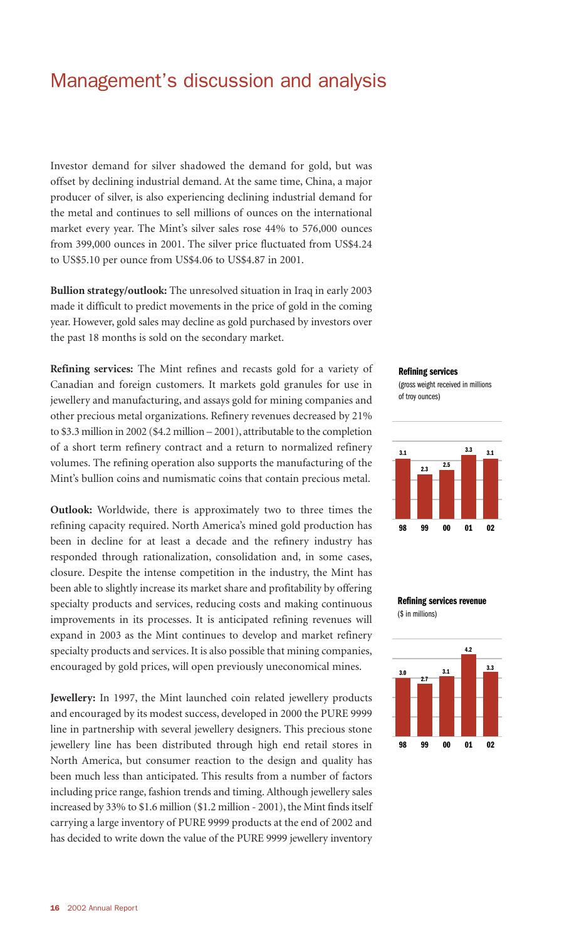### Management's discussion and analysis

Investor demand for silver shadowed the demand for gold, but was offset by declining industrial demand. At the same time, China, a major producer of silver, is also experiencing declining industrial demand for the metal and continues to sell millions of ounces on the international market every year. The Mint's silver sales rose 44% to 576,000 ounces from 399,000 ounces in 2001. The silver price fluctuated from US\$4.24 to US\$5.10 per ounce from US\$4.06 to US\$4.87 in 2001.

**Bullion strategy/outlook:** The unresolved situation in Iraq in early 2003 made it difficult to predict movements in the price of gold in the coming year. However, gold sales may decline as gold purchased by investors over the past 18 months is sold on the secondary market.

**Refining services:** The Mint refines and recasts gold for a variety of Canadian and foreign customers. It markets gold granules for use in jewellery and manufacturing, and assays gold for mining companies and other precious metal organizations. Refinery revenues decreased by 21% to \$3.3 million in 2002 (\$4.2 million – 2001), attributable to the completion of a short term refinery contract and a return to normalized refinery volumes. The refining operation also supports the manufacturing of the Mint's bullion coins and numismatic coins that contain precious metal.

**Outlook:** Worldwide, there is approximately two to three times the refining capacity required. North America's mined gold production has been in decline for at least a decade and the refinery industry has responded through rationalization, consolidation and, in some cases, closure. Despite the intense competition in the industry, the Mint has been able to slightly increase its market share and profitability by offering specialty products and services, reducing costs and making continuous improvements in its processes. It is anticipated refining revenues will expand in 2003 as the Mint continues to develop and market refinery specialty products and services. It is also possible that mining companies, encouraged by gold prices, will open previously uneconomical mines.

**Jewellery:** In 1997, the Mint launched coin related jewellery products and encouraged by its modest success, developed in 2000 the PURE 9999 line in partnership with several jewellery designers. This precious stone jewellery line has been distributed through high end retail stores in North America, but consumer reaction to the design and quality has been much less than anticipated. This results from a number of factors including price range, fashion trends and timing. Although jewellery sales increased by 33% to \$1.6 million (\$1.2 million - 2001), the Mint finds itself carrying a large inventory of PURE 9999 products at the end of 2002 and has decided to write down the value of the PURE 9999 jewellery inventory

#### **Refining services**

(gross weight received in millions of troy ounces)



#### **Refining services revenue**  (\$ in millions)

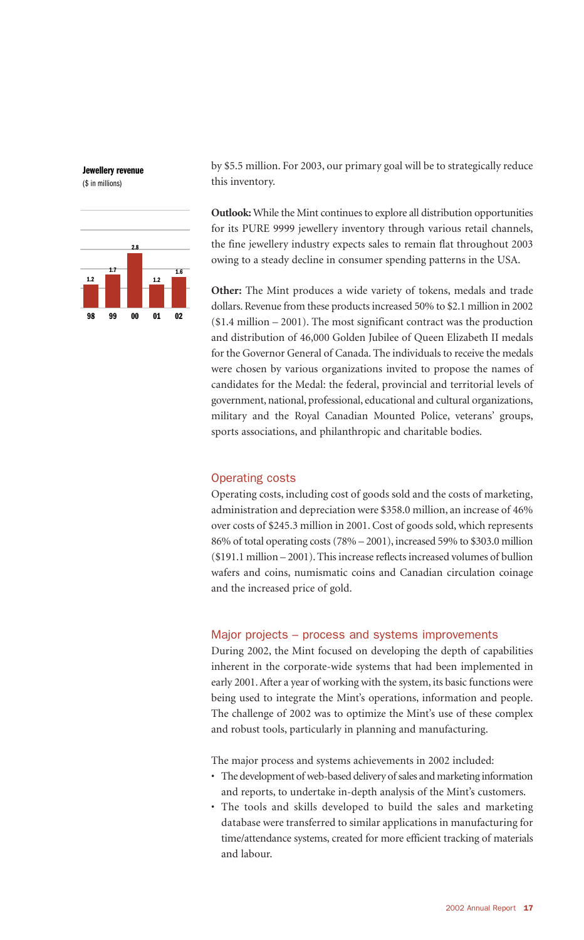



by \$5.5 million. For 2003, our primary goal will be to strategically reduce this inventory.

**Outlook:** While the Mint continues to explore all distribution opportunities for its PURE 9999 jewellery inventory through various retail channels, the fine jewellery industry expects sales to remain flat throughout 2003 owing to a steady decline in consumer spending patterns in the USA.

**Other:** The Mint produces a wide variety of tokens, medals and trade dollars. Revenue from these products increased 50% to \$2.1 million in 2002 (\$1.4 million – 2001). The most significant contract was the production and distribution of 46,000 Golden Jubilee of Queen Elizabeth II medals for the Governor General of Canada. The individuals to receive the medals were chosen by various organizations invited to propose the names of candidates for the Medal: the federal, provincial and territorial levels of government, national, professional, educational and cultural organizations, military and the Royal Canadian Mounted Police, veterans' groups, sports associations, and philanthropic and charitable bodies.

#### Operating costs

Operating costs, including cost of goods sold and the costs of marketing, administration and depreciation were \$358.0 million, an increase of 46% over costs of \$245.3 million in 2001. Cost of goods sold, which represents 86% of total operating costs (78% – 2001), increased 59% to \$303.0 million (\$191.1 million – 2001). This increase reflects increased volumes of bullion wafers and coins, numismatic coins and Canadian circulation coinage and the increased price of gold.

#### Major projects – process and systems improvements

During 2002, the Mint focused on developing the depth of capabilities inherent in the corporate-wide systems that had been implemented in early 2001. After a year of working with the system, its basic functions were being used to integrate the Mint's operations, information and people. The challenge of 2002 was to optimize the Mint's use of these complex and robust tools, particularly in planning and manufacturing.

The major process and systems achievements in 2002 included:

- The development of web-based delivery of sales and marketing information and reports, to undertake in-depth analysis of the Mint's customers.
- The tools and skills developed to build the sales and marketing database were transferred to similar applications in manufacturing for time/attendance systems, created for more efficient tracking of materials and labour.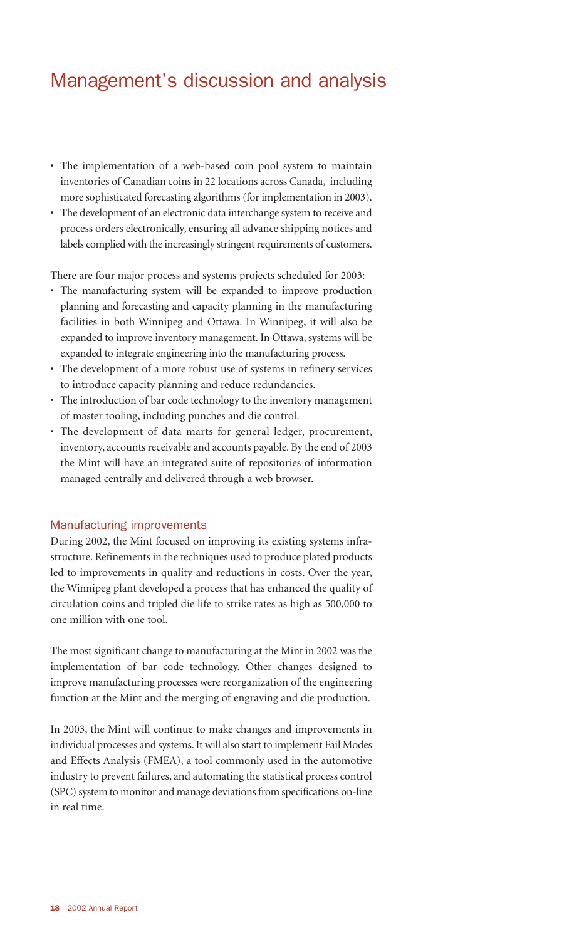### Management's discussion and analysis

- The implementation of a web-based coin pool system to maintain inventories of Canadian coins in 22 locations across Canada, including more sophisticated forecasting algorithms (for implementation in 2003).
- The development of an electronic data interchange system to receive and process orders electronically, ensuring all advance shipping notices and labels complied with the increasingly stringent requirements of customers.

There are four major process and systems projects scheduled for 2003:

- The manufacturing system will be expanded to improve production planning and forecasting and capacity planning in the manufacturing facilities in both Winnipeg and Ottawa. In Winnipeg, it will also be expanded to improve inventory management. In Ottawa, systems will be expanded to integrate engineering into the manufacturing process.
- The development of a more robust use of systems in refinery services to introduce capacity planning and reduce redundancies.
- The introduction of bar code technology to the inventory management of master tooling, including punches and die control.
- The development of data marts for general ledger, procurement, inventory, accounts receivable and accounts payable. By the end of 2003 the Mint will have an integrated suite of repositories of information managed centrally and delivered through a web browser.

#### Manufacturing improvements

During 2002, the Mint focused on improving its existing systems infrastructure. Refinements in the techniques used to produce plated products led to improvements in quality and reductions in costs. Over the year, the Winnipeg plant developed a process that has enhanced the quality of circulation coins and tripled die life to strike rates as high as 500,000 to one million with one tool.

The most significant change to manufacturing at the Mint in 2002 was the implementation of bar code technology. Other changes designed to improve manufacturing processes were reorganization of the engineering function at the Mint and the merging of engraving and die production.

In 2003, the Mint will continue to make changes and improvements in individual processes and systems. It will also start to implement Fail Modes and Effects Analysis (FMEA), a tool commonly used in the automotive industry to prevent failures, and automating the statistical process control (SPC) system to monitor and manage deviations from specifications on-line in real time.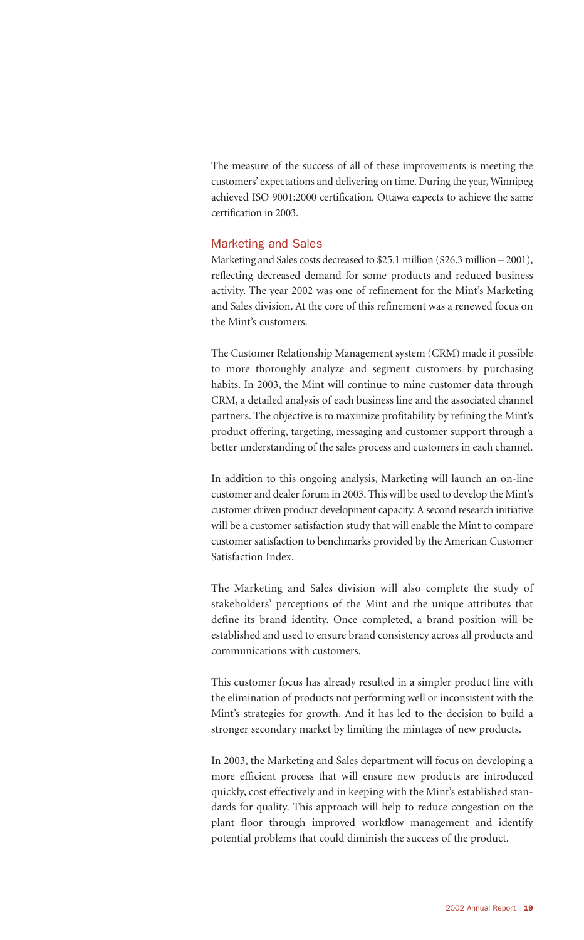The measure of the success of all of these improvements is meeting the customers' expectations and delivering on time. During the year, Winnipeg achieved ISO 9001:2000 certification. Ottawa expects to achieve the same certification in 2003.

#### Marketing and Sales

Marketing and Sales costs decreased to \$25.1 million (\$26.3 million – 2001), reflecting decreased demand for some products and reduced business activity. The year 2002 was one of refinement for the Mint's Marketing and Sales division. At the core of this refinement was a renewed focus on the Mint's customers.

The Customer Relationship Management system (CRM) made it possible to more thoroughly analyze and segment customers by purchasing habits. In 2003, the Mint will continue to mine customer data through CRM, a detailed analysis of each business line and the associated channel partners. The objective is to maximize profitability by refining the Mint's product offering, targeting, messaging and customer support through a better understanding of the sales process and customers in each channel.

In addition to this ongoing analysis, Marketing will launch an on-line customer and dealer forum in 2003. This will be used to develop the Mint's customer driven product development capacity. A second research initiative will be a customer satisfaction study that will enable the Mint to compare customer satisfaction to benchmarks provided by the American Customer Satisfaction Index.

The Marketing and Sales division will also complete the study of stakeholders' perceptions of the Mint and the unique attributes that define its brand identity. Once completed, a brand position will be established and used to ensure brand consistency across all products and communications with customers.

This customer focus has already resulted in a simpler product line with the elimination of products not performing well or inconsistent with the Mint's strategies for growth. And it has led to the decision to build a stronger secondary market by limiting the mintages of new products.

In 2003, the Marketing and Sales department will focus on developing a more efficient process that will ensure new products are introduced quickly, cost effectively and in keeping with the Mint's established standards for quality. This approach will help to reduce congestion on the plant floor through improved workflow management and identify potential problems that could diminish the success of the product.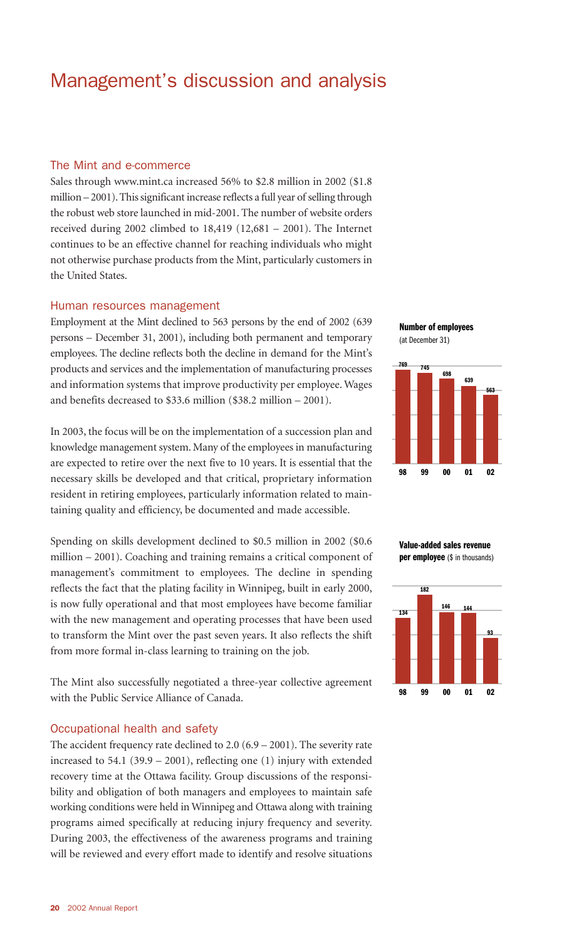### Management's discussion and analysis

#### The Mint and e-commerce

Sales through www.mint.ca increased 56% to \$2.8 million in 2002 (\$1.8 million – 2001). This significant increase reflects a full year of selling through the robust web store launched in mid-2001. The number of website orders received during 2002 climbed to 18,419 (12,681 – 2001). The Internet continues to be an effective channel for reaching individuals who might not otherwise purchase products from the Mint, particularly customers in the United States.

#### Human resources management

Employment at the Mint declined to 563 persons by the end of 2002 (639 persons – December 31, 2001), including both permanent and temporary employees. The decline reflects both the decline in demand for the Mint's products and services and the implementation of manufacturing processes and information systems that improve productivity per employee. Wages and benefits decreased to \$33.6 million (\$38.2 million – 2001).

In 2003, the focus will be on the implementation of a succession plan and knowledge management system. Many of the employees in manufacturing are expected to retire over the next five to 10 years. It is essential that the necessary skills be developed and that critical, proprietary information resident in retiring employees, particularly information related to maintaining quality and efficiency, be documented and made accessible.

Spending on skills development declined to \$0.5 million in 2002 (\$0.6 million – 2001). Coaching and training remains a critical component of management's commitment to employees. The decline in spending reflects the fact that the plating facility in Winnipeg, built in early 2000, is now fully operational and that most employees have become familiar with the new management and operating processes that have been used to transform the Mint over the past seven years. It also reflects the shift from more formal in-class learning to training on the job.

The Mint also successfully negotiated a three-year collective agreement with the Public Service Alliance of Canada.

#### Occupational health and safety

The accident frequency rate declined to 2.0 (6.9 – 2001). The severity rate increased to 54.1 (39.9 – 2001), reflecting one (1) injury with extended recovery time at the Ottawa facility. Group discussions of the responsibility and obligation of both managers and employees to maintain safe working conditions were held in Winnipeg and Ottawa along with training programs aimed specifically at reducing injury frequency and severity. During 2003, the effectiveness of the awareness programs and training will be reviewed and every effort made to identify and resolve situations







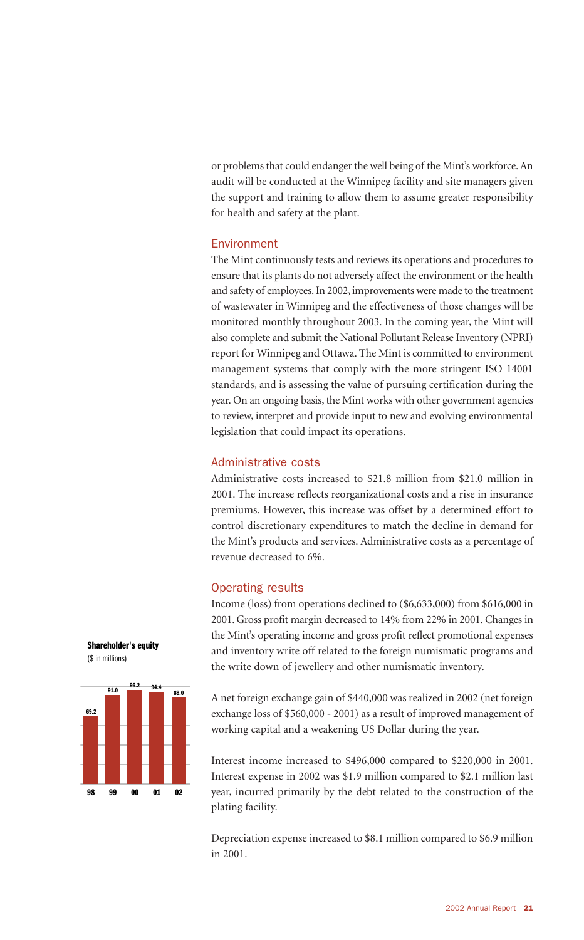or problems that could endanger the well being of the Mint's workforce. An audit will be conducted at the Winnipeg facility and site managers given the support and training to allow them to assume greater responsibility for health and safety at the plant.

#### **Environment**

The Mint continuously tests and reviews its operations and procedures to ensure that its plants do not adversely affect the environment or the health and safety of employees. In 2002, improvements were made to the treatment of wastewater in Winnipeg and the effectiveness of those changes will be monitored monthly throughout 2003. In the coming year, the Mint will also complete and submit the National Pollutant Release Inventory (NPRI) report for Winnipeg and Ottawa. The Mint is committed to environment management systems that comply with the more stringent ISO 14001 standards, and is assessing the value of pursuing certification during the year. On an ongoing basis, the Mint works with other government agencies to review, interpret and provide input to new and evolving environmental legislation that could impact its operations.

#### Administrative costs

Administrative costs increased to \$21.8 million from \$21.0 million in 2001. The increase reflects reorganizational costs and a rise in insurance premiums. However, this increase was offset by a determined effort to control discretionary expenditures to match the decline in demand for the Mint's products and services. Administrative costs as a percentage of revenue decreased to 6%.

#### Operating results

Income (loss) from operations declined to (\$6,633,000) from \$616,000 in 2001. Gross profit margin decreased to 14% from 22% in 2001. Changes in the Mint's operating income and gross profit reflect promotional expenses and inventory write off related to the foreign numismatic programs and the write down of jewellery and other numismatic inventory.

A net foreign exchange gain of \$440,000 was realized in 2002 (net foreign exchange loss of \$560,000 - 2001) as a result of improved management of working capital and a weakening US Dollar during the year.

Interest income increased to \$496,000 compared to \$220,000 in 2001. Interest expense in 2002 was \$1.9 million compared to \$2.1 million last year, incurred primarily by the debt related to the construction of the plating facility.

Depreciation expense increased to \$8.1 million compared to \$6.9 million in 2001.



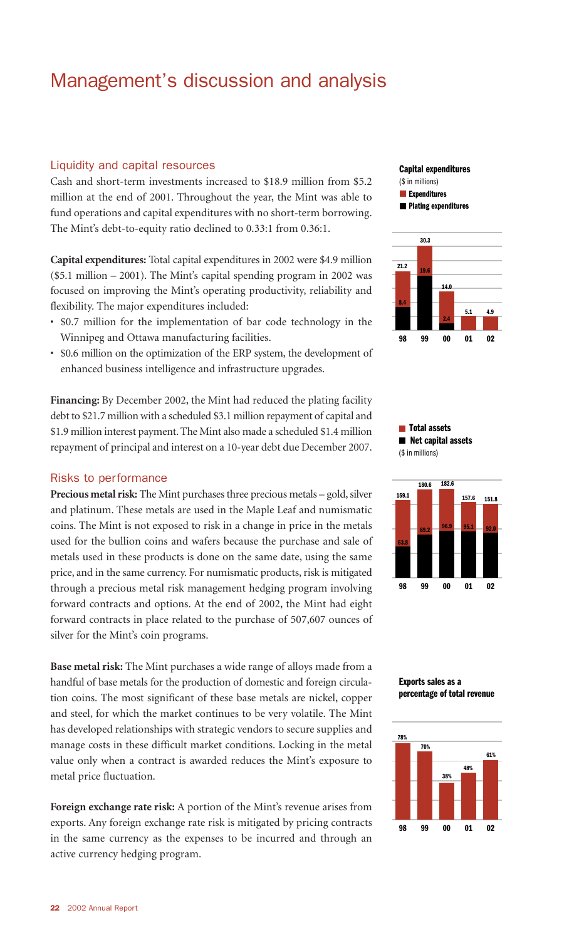### Management's discussion and analysis

#### Liquidity and capital resources

Cash and short-term investments increased to \$18.9 million from \$5.2 million at the end of 2001. Throughout the year, the Mint was able to fund operations and capital expenditures with no short-term borrowing. The Mint's debt-to-equity ratio declined to 0.33:1 from 0.36:1.

**Capital expenditures:** Total capital expenditures in 2002 were \$4.9 million (\$5.1 million – 2001). The Mint's capital spending program in 2002 was focused on improving the Mint's operating productivity, reliability and flexibility. The major expenditures included:

- \$0.7 million for the implementation of bar code technology in the Winnipeg and Ottawa manufacturing facilities.
- \$0.6 million on the optimization of the ERP system, the development of enhanced business intelligence and infrastructure upgrades.

**Financing:** By December 2002, the Mint had reduced the plating facility debt to \$21.7 million with a scheduled \$3.1 million repayment of capital and \$1.9 million interest payment. The Mint also made a scheduled \$1.4 million repayment of principal and interest on a 10-year debt due December 2007.

#### Risks to performance

**Precious metal risk:** The Mint purchases three precious metals – gold, silver and platinum. These metals are used in the Maple Leaf and numismatic coins. The Mint is not exposed to risk in a change in price in the metals used for the bullion coins and wafers because the purchase and sale of metals used in these products is done on the same date, using the same price, and in the same currency. For numismatic products, risk is mitigated through a precious metal risk management hedging program involving forward contracts and options. At the end of 2002, the Mint had eight forward contracts in place related to the purchase of 507,607 ounces of silver for the Mint's coin programs.

**Base metal risk:** The Mint purchases a wide range of alloys made from a handful of base metals for the production of domestic and foreign circulation coins. The most significant of these base metals are nickel, copper and steel, for which the market continues to be very volatile. The Mint has developed relationships with strategic vendors to secure supplies and manage costs in these difficult market conditions. Locking in the metal value only when a contract is awarded reduces the Mint's exposure to metal price fluctuation.

**Foreign exchange rate risk:** A portion of the Mint's revenue arises from exports. Any foreign exchange rate risk is mitigated by pricing contracts in the same currency as the expenses to be incurred and through an active currency hedging program.

#### **Capital expenditures**

(\$ in millions)

 $E$  Expenditures  **Plating expenditures**



 **Total assets Net capital assets** (\$ in millions)





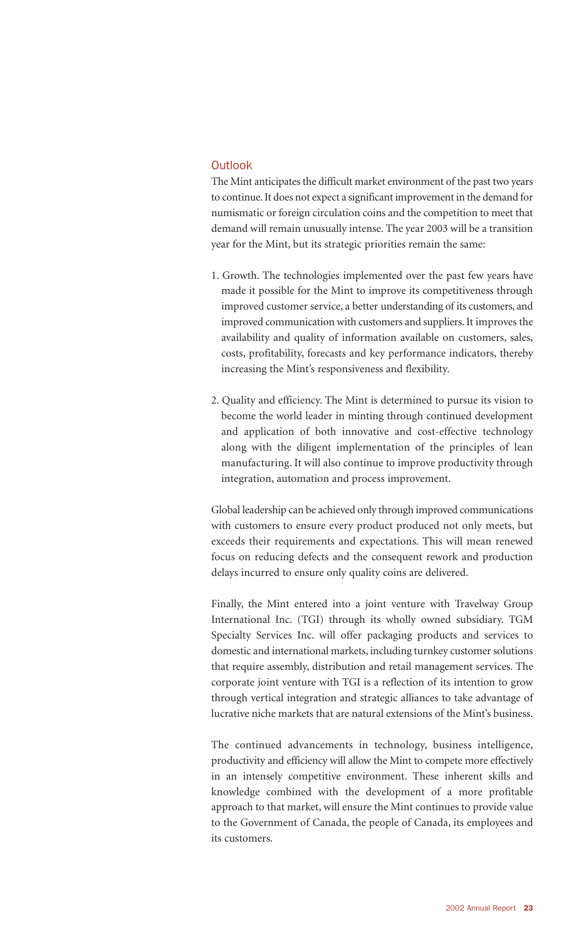#### **Outlook**

The Mint anticipates the difficult market environment of the past two years to continue. It does not expect a significant improvement in the demand for numismatic or foreign circulation coins and the competition to meet that demand will remain unusually intense. The year 2003 will be a transition year for the Mint, but its strategic priorities remain the same:

- 1. Growth. The technologies implemented over the past few years have made it possible for the Mint to improve its competitiveness through improved customer service, a better understanding of its customers, and improved communication with customers and suppliers. It improves the availability and quality of information available on customers, sales, costs, profitability, forecasts and key performance indicators, thereby increasing the Mint's responsiveness and flexibility.
- 2. Quality and efficiency. The Mint is determined to pursue its vision to become the world leader in minting through continued development and application of both innovative and cost-effective technology along with the diligent implementation of the principles of lean manufacturing. It will also continue to improve productivity through integration, automation and process improvement.

Global leadership can be achieved only through improved communications with customers to ensure every product produced not only meets, but exceeds their requirements and expectations. This will mean renewed focus on reducing defects and the consequent rework and production delays incurred to ensure only quality coins are delivered.

Finally, the Mint entered into a joint venture with Travelway Group International Inc. (TGI) through its wholly owned subsidiary. TGM Specialty Services Inc. will offer packaging products and services to domestic and international markets, including turnkey customer solutions that require assembly, distribution and retail management services. The corporate joint venture with TGI is a reflection of its intention to grow through vertical integration and strategic alliances to take advantage of lucrative niche markets that are natural extensions of the Mint's business.

The continued advancements in technology, business intelligence, productivity and efficiency will allow the Mint to compete more effectively in an intensely competitive environment. These inherent skills and knowledge combined with the development of a more profitable approach to that market, will ensure the Mint continues to provide value to the Government of Canada, the people of Canada, its employees and its customers.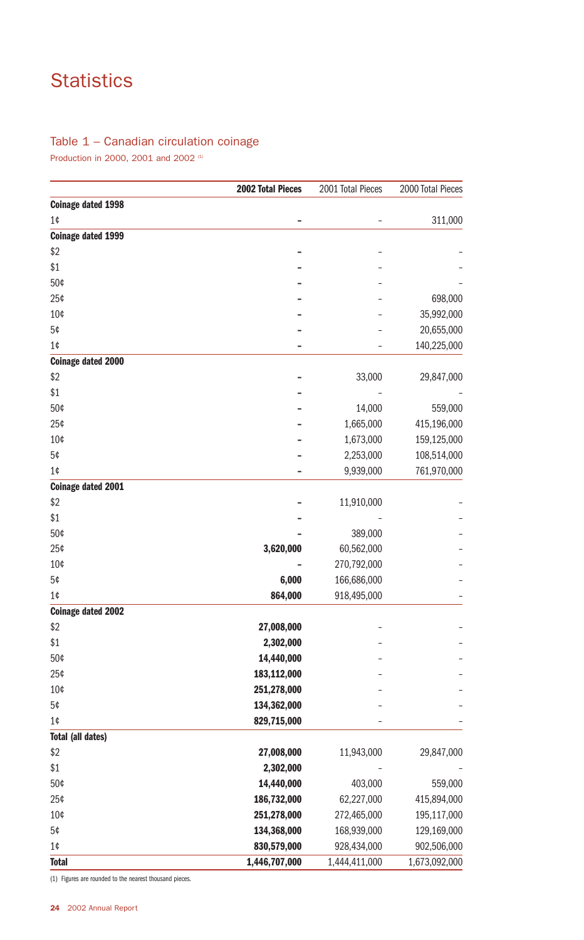## **Statistics**

#### Table 1 – Canadian circulation coinage

Production in 2000, 2001 and 2002<sup>(1)</sup>

|                           | <b>2002 Total Pieces</b> | 2001 Total Pieces | 2000 Total Pieces |
|---------------------------|--------------------------|-------------------|-------------------|
| <b>Coinage dated 1998</b> |                          |                   |                   |
| 1¢                        |                          |                   | 311,000           |
| <b>Coinage dated 1999</b> |                          |                   |                   |
| \$2                       |                          |                   |                   |
| \$1                       |                          |                   |                   |
| 50¢                       |                          |                   |                   |
| 25¢                       |                          |                   | 698,000           |
| 10¢                       |                          |                   | 35,992,000        |
| 5¢                        |                          |                   | 20,655,000        |
| 1¢                        |                          |                   | 140,225,000       |
| <b>Coinage dated 2000</b> |                          |                   |                   |
| \$2                       |                          | 33,000            | 29,847,000        |
| \$1                       |                          |                   |                   |
| 50¢                       |                          | 14,000            | 559,000           |
| 25¢                       |                          | 1,665,000         | 415,196,000       |
| 10¢                       |                          | 1,673,000         | 159,125,000       |
| 5¢                        |                          | 2,253,000         | 108,514,000       |
| 1¢                        |                          | 9,939,000         | 761,970,000       |
| <b>Coinage dated 2001</b> |                          |                   |                   |
| \$2                       |                          | 11,910,000        |                   |
| \$1                       |                          |                   |                   |
| 50¢                       |                          | 389,000           |                   |
| 25¢                       | 3,620,000                | 60,562,000        |                   |
| 10¢                       |                          | 270,792,000       |                   |
| 5¢                        | 6,000                    | 166,686,000       |                   |
| 1¢                        | 864,000                  | 918,495,000       |                   |
| <b>Coinage dated 2002</b> |                          |                   |                   |
| \$2                       | 27,008,000               |                   |                   |
| \$1                       | 2,302,000                |                   |                   |
| 50¢                       | 14,440,000               |                   |                   |
| 25¢                       | 183,112,000              |                   |                   |
| 10¢                       | 251,278,000              |                   |                   |
| 5¢                        | 134,362,000              |                   |                   |
| 1¢                        | 829,715,000              |                   |                   |
| <b>Total (all dates)</b>  |                          |                   |                   |
| \$2                       | 27,008,000               | 11,943,000        | 29,847,000        |
| \$1                       | 2,302,000                |                   |                   |
| 50¢                       | 14,440,000               | 403,000           | 559,000           |
| 25¢                       | 186,732,000              | 62,227,000        | 415,894,000       |
| 10¢                       | 251,278,000              | 272,465,000       | 195,117,000       |
| 5¢                        | 134,368,000              | 168,939,000       | 129,169,000       |
| $1¢$                      | 830,579,000              | 928,434,000       | 902,506,000       |
| <b>Total</b>              | 1,446,707,000            | 1,444,411,000     | 1,673,092,000     |

(1) Figures are rounded to the nearest thousand pieces.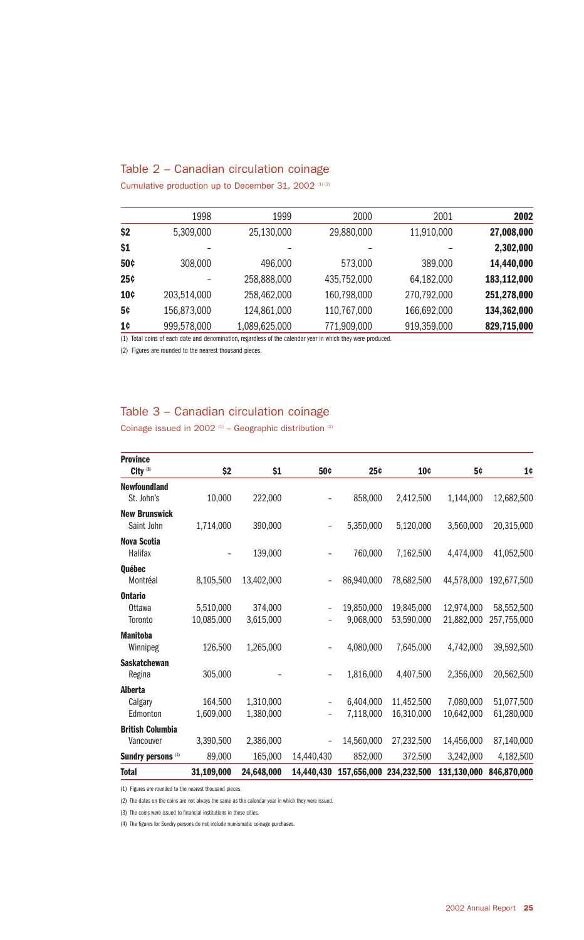#### Table 2 – Canadian circulation coinage

Cumulative production up to December 31, 2002 (1) (2)

| 2002        | 2001        | 2000        | 1999          | 1998        |            |
|-------------|-------------|-------------|---------------|-------------|------------|
| 27,008,000  | 11,910,000  | 29,880,000  | 25,130,000    | 5,309,000   | \$2        |
| 2,302,000   |             |             |               |             | \$1        |
| 14,440,000  | 389,000     | 573,000     | 496,000       | 308,000     | 50¢        |
| 183,112,000 | 64,182,000  | 435,752,000 | 258,888,000   |             | <b>25¢</b> |
| 251,278,000 | 270,792,000 | 160,798,000 | 258,462,000   | 203,514,000 | <b>10¢</b> |
| 134,362,000 | 166,692,000 | 110,767,000 | 124,861,000   | 156,873,000 | 5¢         |
| 829,715,000 | 919,359,000 | 771,909,000 | 1,089,625,000 | 999,578,000 | 1¢         |
|             |             |             |               |             |            |

(1) Total coins of each date and denomination, regardless of the calendar year in which they were produced.

(2) Figures are rounded to the nearest thousand pieces.

#### Table 3 – Canadian circulation coinage

Coinage issued in 2002  $(1)$  – Geographic distribution  $(2)$ 

| <b>Province</b>               |            |            |            |             |             |             |             |
|-------------------------------|------------|------------|------------|-------------|-------------|-------------|-------------|
| City $(3)$                    | \$2        | \$1        | 50¢        | 25¢         | 10¢         | 5¢          | 1¢          |
| <b>Newfoundland</b>           |            |            |            |             |             |             |             |
| St. John's                    | 10,000     | 222,000    |            | 858,000     | 2,412,500   | 1,144,000   | 12,682,500  |
| <b>New Brunswick</b>          |            |            |            |             |             |             |             |
| Saint John                    | 1,714,000  | 390,000    |            | 5,350,000   | 5,120,000   | 3,560,000   | 20,315,000  |
| <b>Nova Scotia</b>            |            |            |            |             |             |             |             |
| Halifax                       |            | 139,000    |            | 760,000     | 7,162,500   | 4,474,000   | 41,052,500  |
| <b>Ouébec</b>                 |            |            |            |             |             |             |             |
| Montréal                      | 8,105,500  | 13,402,000 |            | 86,940,000  | 78,682,500  | 44,578,000  | 192,677,500 |
| <b>Ontario</b>                |            |            |            |             |             |             |             |
| <b>Ottawa</b>                 | 5,510,000  | 374,000    |            | 19,850,000  | 19,845,000  | 12.974.000  | 58,552,500  |
| Toronto                       | 10,085,000 | 3,615,000  | -          | 9,068,000   | 53,590,000  | 21,882,000  | 257,755,000 |
| <b>Manitoba</b>               |            |            |            |             |             |             |             |
| Winnipeg                      | 126,500    | 1,265,000  | -          | 4,080,000   | 7,645,000   | 4,742,000   | 39,592,500  |
| <b>Saskatchewan</b>           |            |            |            |             |             |             |             |
| Regina                        | 305,000    |            |            | 1,816,000   | 4,407,500   | 2,356,000   | 20,562,500  |
| <b>Alberta</b>                |            |            |            |             |             |             |             |
| Calgary                       | 164,500    | 1,310,000  |            | 6,404,000   | 11,452,500  | 7,080,000   | 51,077,500  |
| Edmonton                      | 1,609,000  | 1,380,000  |            | 7,118,000   | 16,310,000  | 10,642,000  | 61,280,000  |
| <b>British Columbia</b>       |            |            |            |             |             |             |             |
| Vancouver                     | 3,390,500  | 2,386,000  |            | 14,560,000  | 27,232,500  | 14,456,000  | 87,140,000  |
| Sundry persons <sup>(4)</sup> | 89,000     | 165,000    | 14,440,430 | 852,000     | 372,500     | 3,242,000   | 4,182,500   |
| <b>Total</b>                  | 31,109,000 | 24,648,000 | 14.440.430 | 157,656,000 | 234,232,500 | 131,130,000 | 846,870,000 |

(1) Figures are rounded to the nearest thousand pieces.

(2) The dates on the coins are not always the same as the calendar year in which they were issued.

(3) The coins were issued to financial institutions in these cities.

(4) The figures for Sundry persons do not include numismatic coinage purchases.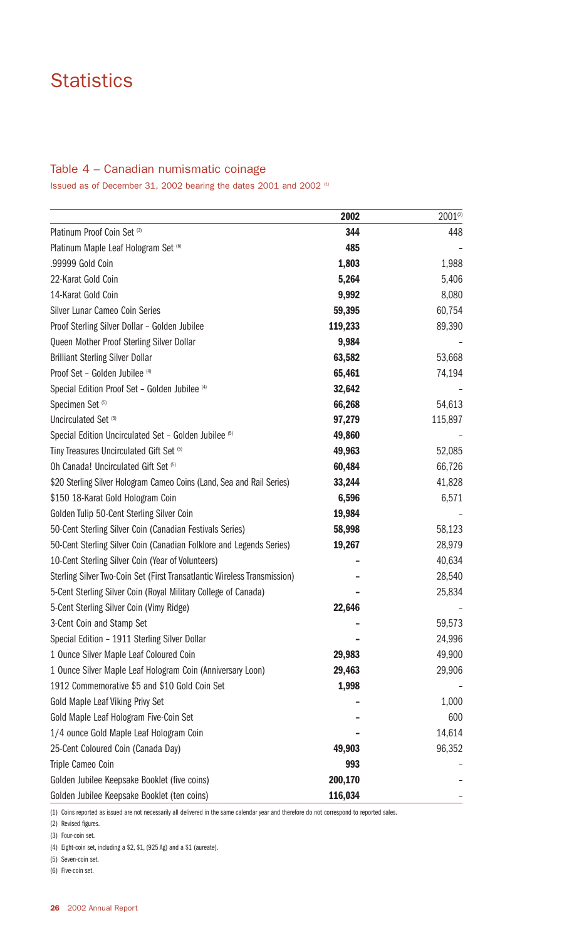### **Statistics**

#### Table 4 – Canadian numismatic coinage

Issued as of December 31, 2002 bearing the dates 2001 and 2002 (1)

|                                                                          | 2002    | $2001^{(2)}$ |
|--------------------------------------------------------------------------|---------|--------------|
| Platinum Proof Coin Set (3)                                              | 344     | 448          |
| Platinum Maple Leaf Hologram Set (6)                                     | 485     |              |
| .99999 Gold Coin                                                         | 1,803   | 1,988        |
| 22-Karat Gold Coin                                                       | 5,264   | 5,406        |
| 14-Karat Gold Coin                                                       | 9,992   | 8,080        |
| Silver Lunar Cameo Coin Series                                           | 59,395  | 60,754       |
| Proof Sterling Silver Dollar - Golden Jubilee                            | 119,233 | 89,390       |
| Queen Mother Proof Sterling Silver Dollar                                | 9,984   |              |
| <b>Brilliant Sterling Silver Dollar</b>                                  | 63,582  | 53,668       |
| Proof Set - Golden Jubilee (4)                                           | 65,461  | 74,194       |
| Special Edition Proof Set - Golden Jubilee (4)                           | 32,642  |              |
| Specimen Set <sup>(5)</sup>                                              | 66,268  | 54,613       |
| Uncirculated Set <sup>(5)</sup>                                          | 97,279  | 115,897      |
| Special Edition Uncirculated Set - Golden Jubilee (5)                    | 49,860  |              |
| Tiny Treasures Uncirculated Gift Set (5)                                 | 49,963  | 52,085       |
| Oh Canada! Uncirculated Gift Set (5)                                     | 60,484  | 66,726       |
| \$20 Sterling Silver Hologram Cameo Coins (Land, Sea and Rail Series)    | 33,244  | 41,828       |
| \$150 18-Karat Gold Hologram Coin                                        | 6,596   | 6,571        |
| Golden Tulip 50-Cent Sterling Silver Coin                                | 19,984  |              |
| 50-Cent Sterling Silver Coin (Canadian Festivals Series)                 | 58,998  | 58,123       |
| 50-Cent Sterling Silver Coin (Canadian Folklore and Legends Series)      | 19,267  | 28,979       |
| 10-Cent Sterling Silver Coin (Year of Volunteers)                        |         | 40,634       |
| Sterling Silver Two-Coin Set (First Transatlantic Wireless Transmission) |         | 28,540       |
| 5-Cent Sterling Silver Coin (Royal Military College of Canada)           |         | 25,834       |
| 5-Cent Sterling Silver Coin (Vimy Ridge)                                 | 22,646  |              |
| 3-Cent Coin and Stamp Set                                                |         | 59,573       |
| Special Edition - 1911 Sterling Silver Dollar                            |         | 24,996       |
| 1 Ounce Silver Maple Leaf Coloured Coin                                  | 29,983  | 49,900       |
| 1 Ounce Silver Maple Leaf Hologram Coin (Anniversary Loon)               | 29,463  | 29,906       |
| 1912 Commemorative \$5 and \$10 Gold Coin Set                            | 1,998   |              |
| Gold Maple Leaf Viking Privy Set                                         |         | 1,000        |
| Gold Maple Leaf Hologram Five-Coin Set                                   |         | 600          |
| 1/4 ounce Gold Maple Leaf Hologram Coin                                  |         | 14,614       |
| 25-Cent Coloured Coin (Canada Day)                                       | 49,903  | 96,352       |
| Triple Cameo Coin                                                        | 993     |              |
| Golden Jubilee Keepsake Booklet (five coins)                             | 200,170 |              |
| Golden Jubilee Keepsake Booklet (ten coins)                              | 116,034 |              |

(1) Coins reported as issued are not necessarily all delivered in the same calendar year and therefore do not correspond to reported sales.

(2) Revised figures.

(3) Four-coin set.

(4) Eight-coin set, including a \$2, \$1, (925 Ag) and a \$1 (aureate).

(5) Seven-coin set.

(6) Five-coin set.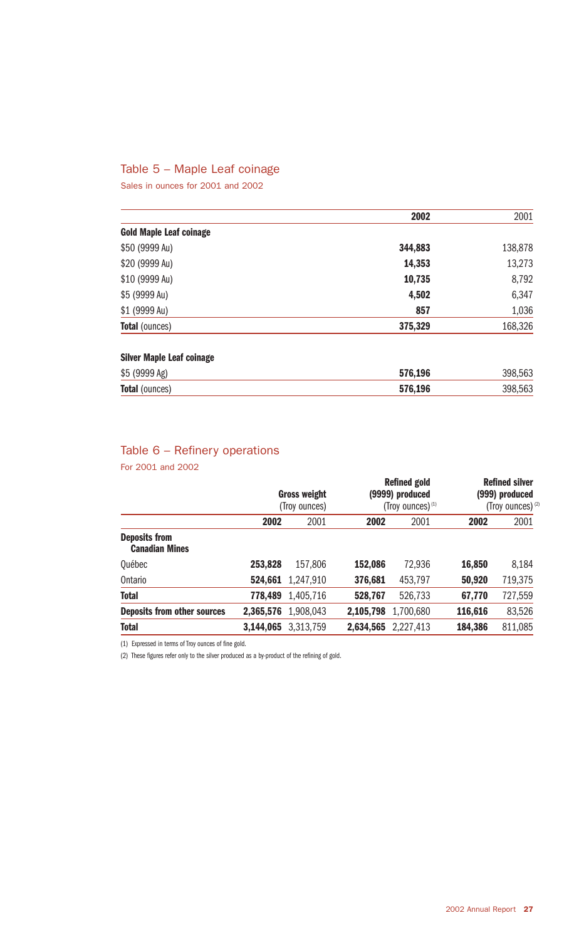#### Table 5 – Maple Leaf coinage

Sales in ounces for 2001 and 2002

|                                  | 2002    | 2001    |
|----------------------------------|---------|---------|
| <b>Gold Maple Leaf coinage</b>   |         |         |
| \$50 (9999 Au)                   | 344,883 | 138,878 |
| \$20 (9999 Au)                   | 14,353  | 13,273  |
| \$10 (9999 Au)                   | 10,735  | 8,792   |
| \$5 (9999 Au)                    | 4,502   | 6,347   |
| \$1 (9999 Au)                    | 857     | 1,036   |
| <b>Total (ounces)</b>            | 375,329 | 168,326 |
| <b>Silver Maple Leaf coinage</b> |         |         |
| \$5 (9999 Ag)                    | 576,196 | 398,563 |
| <b>Total</b> (ounces)            | 576,196 | 398,563 |

### Table 6 – Refinery operations

For 2001 and 2002

| <b>Gross weight</b><br>(Troy ounces) |           | <b>Refined gold</b><br>(9999) produced<br>(Troy ounces) $(1)$ |           | <b>Refined silver</b><br>(999) produced<br>(Troy ounces) <sup>(2)</sup> |         |
|--------------------------------------|-----------|---------------------------------------------------------------|-----------|-------------------------------------------------------------------------|---------|
| 2002                                 | 2001      | 2002                                                          | 2001      | 2002                                                                    | 2001    |
|                                      |           |                                                               |           |                                                                         |         |
| 253,828                              | 157.806   | 152,086                                                       | 72.936    | 16,850                                                                  | 8,184   |
| 524.661                              | 1,247,910 | 376,681                                                       | 453,797   | 50,920                                                                  | 719,375 |
| 778.489                              | 1,405,716 | 528,767                                                       | 526,733   | 67,770                                                                  | 727,559 |
| 2,365,576                            | 1.908.043 | 2,105,798                                                     | 1,700,680 | 116,616                                                                 | 83,526  |
| 3,144,065                            | 3.313.759 | 2,634,565                                                     | 2,227,413 | 184,386                                                                 | 811,085 |
|                                      |           |                                                               |           |                                                                         |         |

(1) Expressed in terms of Troy ounces of fine gold.

(2) These figures refer only to the silver produced as a by-product of the refining of gold.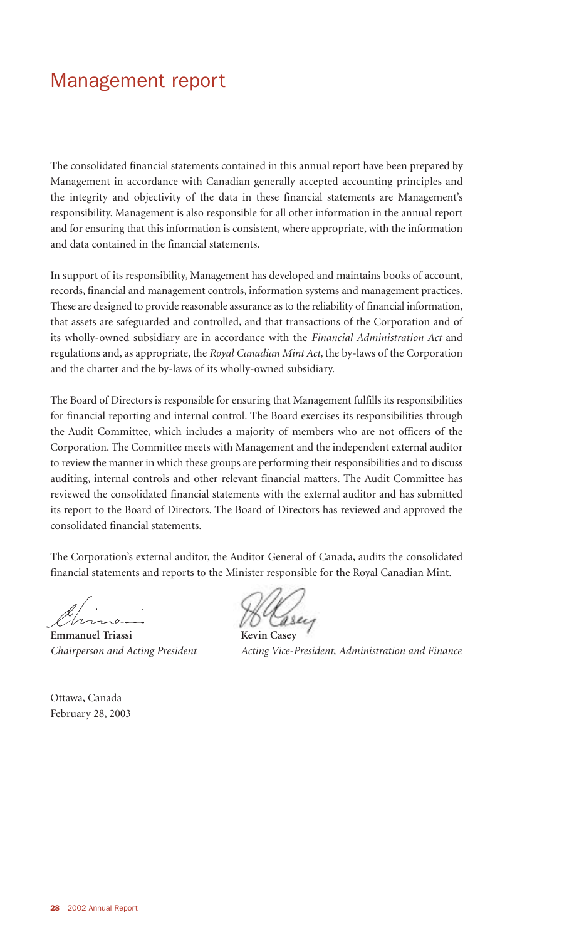### Management report

The consolidated financial statements contained in this annual report have been prepared by Management in accordance with Canadian generally accepted accounting principles and the integrity and objectivity of the data in these financial statements are Management's responsibility. Management is also responsible for all other information in the annual report and for ensuring that this information is consistent, where appropriate, with the information and data contained in the financial statements.

In support of its responsibility, Management has developed and maintains books of account, records, financial and management controls, information systems and management practices. These are designed to provide reasonable assurance as to the reliability of financial information, that assets are safeguarded and controlled, and that transactions of the Corporation and of its wholly-owned subsidiary are in accordance with the *Financial Administration Act* and regulations and, as appropriate, the *Royal Canadian Mint Act*, the by-laws of the Corporation and the charter and the by-laws of its wholly-owned subsidiary.

The Board of Directors is responsible for ensuring that Management fulfills its responsibilities for financial reporting and internal control. The Board exercises its responsibilities through the Audit Committee, which includes a majority of members who are not officers of the Corporation. The Committee meets with Management and the independent external auditor to review the manner in which these groups are performing their responsibilities and to discuss auditing, internal controls and other relevant financial matters. The Audit Committee has reviewed the consolidated financial statements with the external auditor and has submitted its report to the Board of Directors. The Board of Directors has reviewed and approved the consolidated financial statements.

The Corporation's external auditor, the Auditor General of Canada, audits the consolidated financial statements and reports to the Minister responsible for the Royal Canadian Mint.

 $\mathbb{Z}/n$ 

**Emmanuel Triassi** 

*Chairperson and Acting President Acting Vice-President, Administration and Finance*

Ottawa, Canada February 28, 2003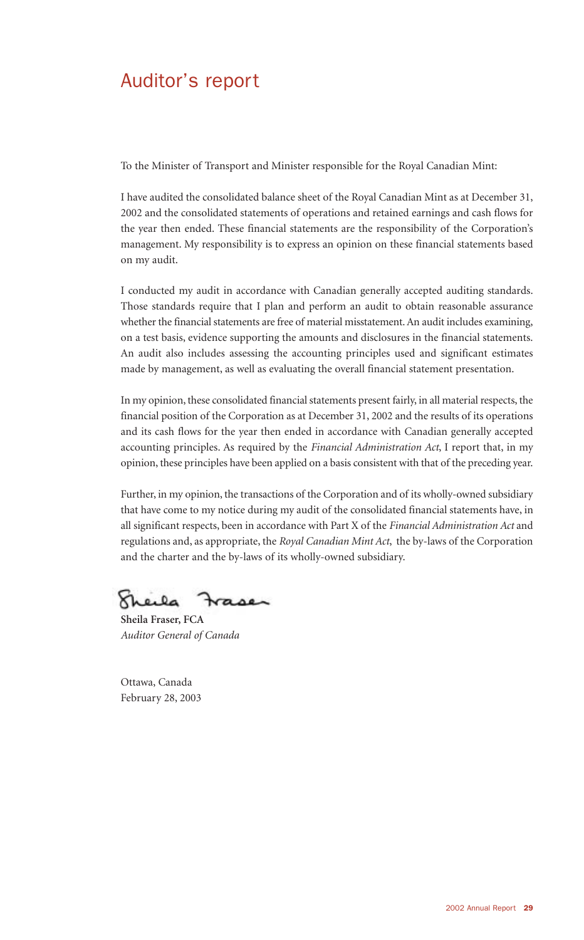### Auditor's report

To the Minister of Transport and Minister responsible for the Royal Canadian Mint:

I have audited the consolidated balance sheet of the Royal Canadian Mint as at December 31, 2002 and the consolidated statements of operations and retained earnings and cash flows for the year then ended. These financial statements are the responsibility of the Corporation's management. My responsibility is to express an opinion on these financial statements based on my audit.

I conducted my audit in accordance with Canadian generally accepted auditing standards. Those standards require that I plan and perform an audit to obtain reasonable assurance whether the financial statements are free of material misstatement. An audit includes examining, on a test basis, evidence supporting the amounts and disclosures in the financial statements. An audit also includes assessing the accounting principles used and significant estimates made by management, as well as evaluating the overall financial statement presentation.

In my opinion, these consolidated financial statements present fairly, in all material respects, the financial position of the Corporation as at December 31, 2002 and the results of its operations and its cash flows for the year then ended in accordance with Canadian generally accepted accounting principles. As required by the *Financial Administration Act*, I report that, in my opinion, these principles have been applied on a basis consistent with that of the preceding year.

Further, in my opinion, the transactions of the Corporation and of its wholly-owned subsidiary that have come to my notice during my audit of the consolidated financial statements have, in all significant respects, been in accordance with Part X of the *Financial Administration Act* and regulations and, as appropriate, the *Royal Canadian Mint Act*, the by-laws of the Corporation and the charter and the by-laws of its wholly-owned subsidiary.

Kheila  $rase$ 

**Sheila Fraser, FCA** *Auditor General of Canada*

Ottawa, Canada February 28, 2003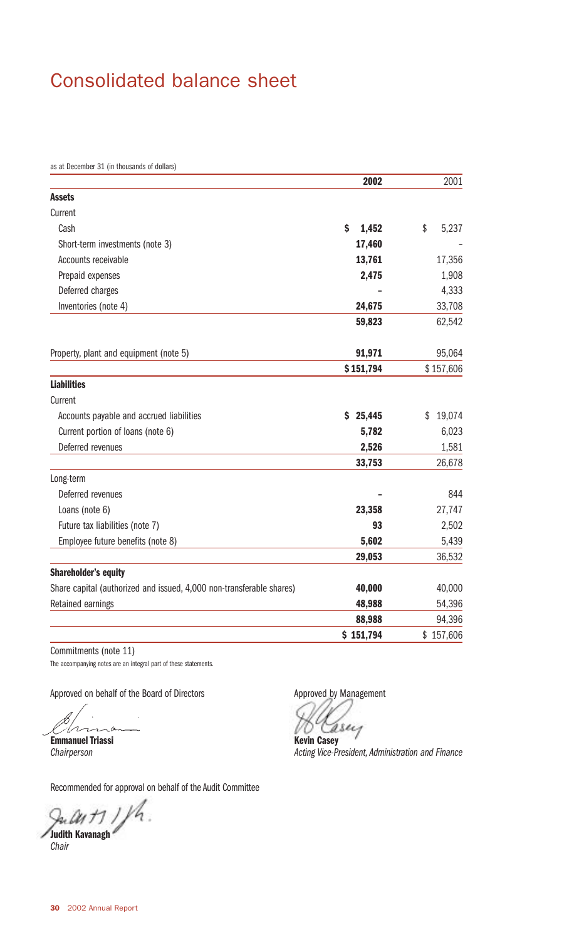### Consolidated balance sheet

as at December 31 (in thousands of dollars)

|                                                                      | 2002        | 2001         |
|----------------------------------------------------------------------|-------------|--------------|
| <b>Assets</b>                                                        |             |              |
| Current                                                              |             |              |
| Cash                                                                 | \$<br>1,452 | \$<br>5,237  |
| Short-term investments (note 3)                                      | 17,460      |              |
| Accounts receivable                                                  | 13,761      | 17,356       |
| Prepaid expenses                                                     | 2,475       | 1,908        |
| Deferred charges                                                     |             | 4,333        |
| Inventories (note 4)                                                 | 24,675      | 33,708       |
|                                                                      | 59,823      | 62,542       |
| Property, plant and equipment (note 5)                               | 91,971      | 95,064       |
|                                                                      | \$151,794   | \$157,606    |
| <b>Liabilities</b>                                                   |             |              |
| Current                                                              |             |              |
| Accounts payable and accrued liabilities                             | \$25,445    | 19,074<br>\$ |
| Current portion of loans (note 6)                                    | 5,782       | 6,023        |
| Deferred revenues                                                    | 2,526       | 1,581        |
|                                                                      | 33,753      | 26,678       |
| Long-term                                                            |             |              |
| Deferred revenues                                                    |             | 844          |
| Loans (note 6)                                                       | 23,358      | 27,747       |
| Future tax liabilities (note 7)                                      | 93          | 2,502        |
| Employee future benefits (note 8)                                    | 5,602       | 5,439        |
|                                                                      | 29,053      | 36,532       |
| <b>Shareholder's equity</b>                                          |             |              |
| Share capital (authorized and issued, 4,000 non-transferable shares) | 40,000      | 40,000       |
| Retained earnings                                                    | 48,988      | 54,396       |
|                                                                      | 88,988      | 94,396       |
|                                                                      | \$151,794   | \$157,606    |

Commitments (note 11) The accompanying notes are an integral part of these statements.

Approved on behalf of the Board of Directors

n<br>M  $\alpha$ 

**Emmanuel Triassi** *Chairperson*

Recommended for approval on behalf of the Audit Committee

July 11/h. **Judith Kavanagh**

*Chair*

Approved by Management

**Kevin Casey**

*Acting Vice-President, Administration and Finance*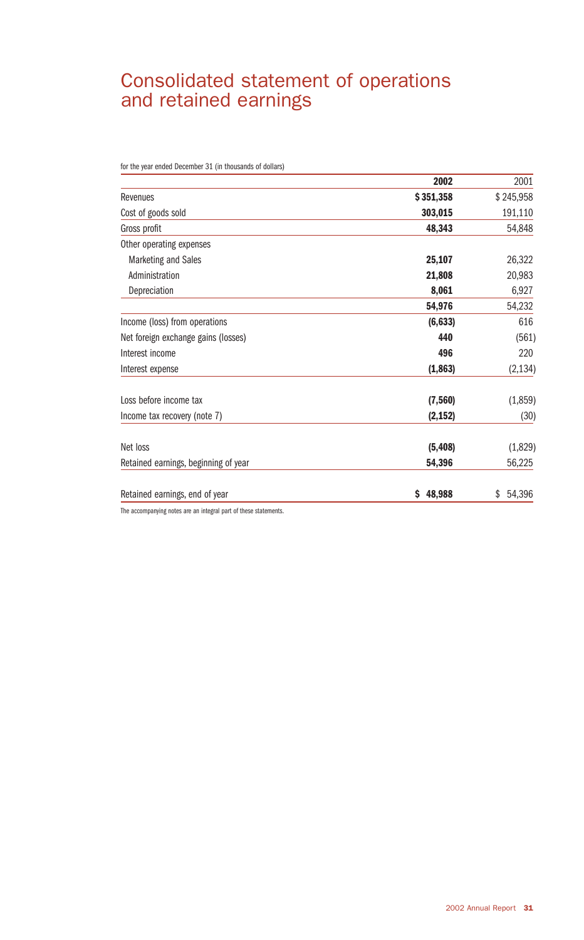### Consolidated statement of operations and retained earnings

for the year ended December 31 (in thousands of dollars)

|                                      | 2002         | 2001         |
|--------------------------------------|--------------|--------------|
| Revenues                             | \$351,358    | \$245,958    |
| Cost of goods sold                   | 303,015      | 191,110      |
| Gross profit                         | 48,343       | 54,848       |
| Other operating expenses             |              |              |
| <b>Marketing and Sales</b>           | 25,107       | 26,322       |
| Administration                       | 21,808       | 20,983       |
| Depreciation                         | 8,061        | 6,927        |
|                                      | 54,976       | 54,232       |
| Income (loss) from operations        | (6, 633)     | 616          |
| Net foreign exchange gains (losses)  | 440          | (561)        |
| Interest income                      | 496          | 220          |
| Interest expense                     | (1, 863)     | (2, 134)     |
| Loss before income tax               | (7, 560)     | (1,859)      |
| Income tax recovery (note 7)         | (2, 152)     | (30)         |
| Net loss                             | (5, 408)     | (1,829)      |
| Retained earnings, beginning of year | 54,396       | 56,225       |
| Retained earnings, end of year       | 48,988<br>\$ | 54,396<br>\$ |

The accompanying notes are an integral part of these statements.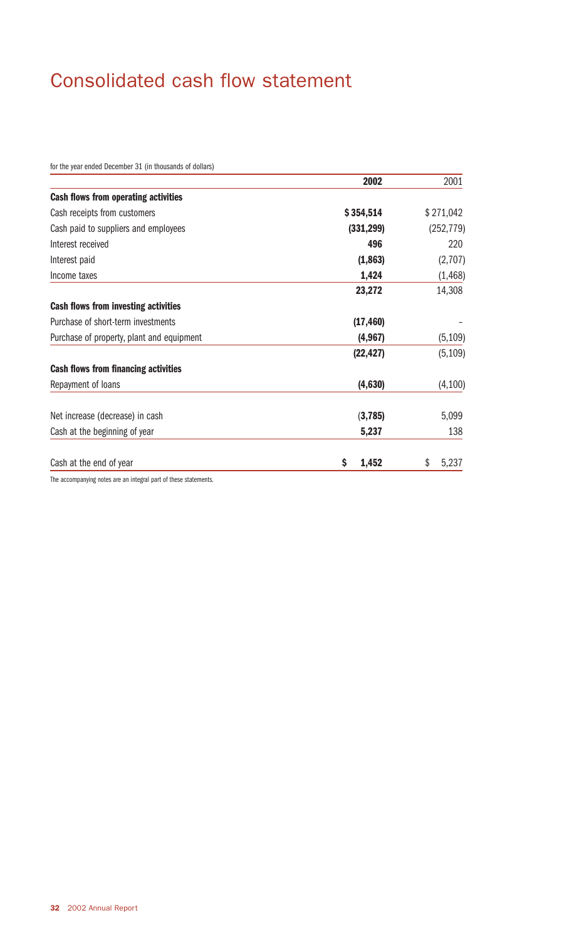## Consolidated cash flow statement

for the year ended December 31 (in thousands of dollars)

|                                             | 2002        | 2001        |
|---------------------------------------------|-------------|-------------|
| <b>Cash flows from operating activities</b> |             |             |
| Cash receipts from customers                | \$354,514   | \$271,042   |
| Cash paid to suppliers and employees        | (331, 299)  | (252, 779)  |
| Interest received                           | 496         | 220         |
| Interest paid                               | (1,863)     | (2,707)     |
| Income taxes                                | 1,424       | (1, 468)    |
|                                             | 23,272      | 14,308      |
| <b>Cash flows from investing activities</b> |             |             |
| Purchase of short-term investments          | (17, 460)   |             |
| Purchase of property, plant and equipment   | (4, 967)    | (5, 109)    |
|                                             | (22, 427)   | (5, 109)    |
| <b>Cash flows from financing activities</b> |             |             |
| Repayment of loans                          | (4,630)     | (4,100)     |
| Net increase (decrease) in cash             | (3,785)     | 5,099       |
| Cash at the beginning of year               | 5,237       | 138         |
| Cash at the end of year                     | \$<br>1,452 | \$<br>5,237 |

The accompanying notes are an integral part of these statements.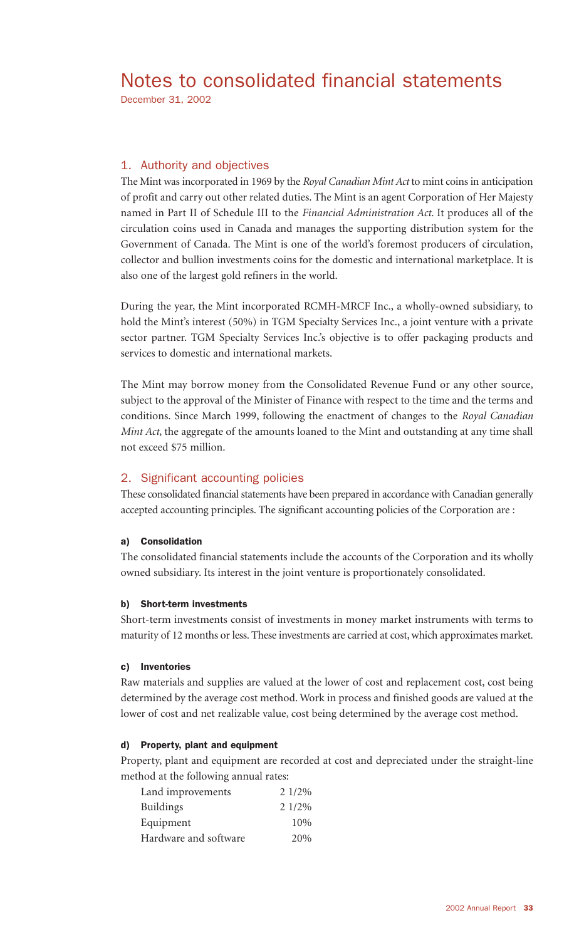### Notes to consolidated financial statements

December 31, 2002

#### 1. Authority and objectives

The Mint was incorporated in 1969 by the *Royal Canadian Mint Act* to mint coins in anticipation of profit and carry out other related duties. The Mint is an agent Corporation of Her Majesty named in Part II of Schedule III to the *Financial Administration Act*. It produces all of the circulation coins used in Canada and manages the supporting distribution system for the Government of Canada. The Mint is one of the world's foremost producers of circulation, collector and bullion investments coins for the domestic and international marketplace. It is also one of the largest gold refiners in the world.

During the year, the Mint incorporated RCMH-MRCF Inc., a wholly-owned subsidiary, to hold the Mint's interest (50%) in TGM Specialty Services Inc., a joint venture with a private sector partner. TGM Specialty Services Inc.'s objective is to offer packaging products and services to domestic and international markets.

The Mint may borrow money from the Consolidated Revenue Fund or any other source, subject to the approval of the Minister of Finance with respect to the time and the terms and conditions. Since March 1999, following the enactment of changes to the *Royal Canadian Mint Act*, the aggregate of the amounts loaned to the Mint and outstanding at any time shall not exceed \$75 million.

#### 2. Significant accounting policies

These consolidated financial statements have been prepared in accordance with Canadian generally accepted accounting principles. The significant accounting policies of the Corporation are :

#### a) Consolidation

The consolidated financial statements include the accounts of the Corporation and its wholly owned subsidiary. Its interest in the joint venture is proportionately consolidated.

#### b) Short-term investments

Short-term investments consist of investments in money market instruments with terms to maturity of 12 months or less. These investments are carried at cost, which approximates market.

#### c) Inventories

Raw materials and supplies are valued at the lower of cost and replacement cost, cost being determined by the average cost method. Work in process and finished goods are valued at the lower of cost and net realizable value, cost being determined by the average cost method.

#### d) Property, plant and equipment

Property, plant and equipment are recorded at cost and depreciated under the straight-line method at the following annual rates:

| Land improvements     | 2 1/2% |
|-----------------------|--------|
| <b>Buildings</b>      | 2 1/2% |
| Equipment             | 10%    |
| Hardware and software | 20%    |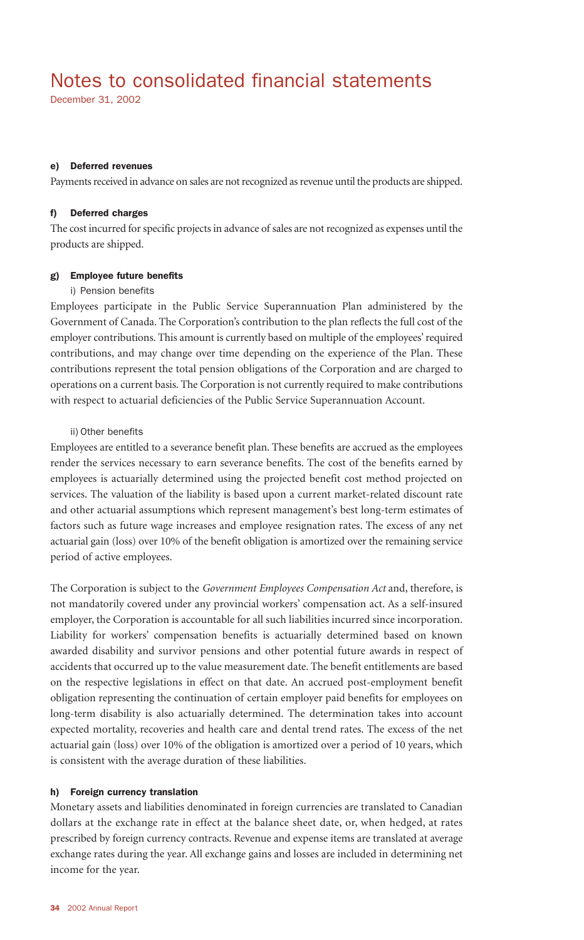### Notes to consolidated financial statements

December 31, 2002

#### e) Deferred revenues

Payments received in advance on sales are not recognized as revenue until the products are shipped.

#### f) Deferred charges

The cost incurred for specific projects in advance of sales are not recognized as expenses until the products are shipped.

#### g) Employee future benefits

#### i) Pension benefits

Employees participate in the Public Service Superannuation Plan administered by the Government of Canada. The Corporation's contribution to the plan reflects the full cost of the employer contributions. This amount is currently based on multiple of the employees' required contributions, and may change over time depending on the experience of the Plan. These contributions represent the total pension obligations of the Corporation and are charged to operations on a current basis. The Corporation is not currently required to make contributions with respect to actuarial deficiencies of the Public Service Superannuation Account.

#### ii) Other benefits

Employees are entitled to a severance benefit plan. These benefits are accrued as the employees render the services necessary to earn severance benefits. The cost of the benefits earned by employees is actuarially determined using the projected benefit cost method projected on services. The valuation of the liability is based upon a current market-related discount rate and other actuarial assumptions which represent management's best long-term estimates of factors such as future wage increases and employee resignation rates. The excess of any net actuarial gain (loss) over 10% of the benefit obligation is amortized over the remaining service period of active employees.

The Corporation is subject to the *Government Employees Compensation Act* and, therefore, is not mandatorily covered under any provincial workers' compensation act. As a self-insured employer, the Corporation is accountable for all such liabilities incurred since incorporation. Liability for workers' compensation benefits is actuarially determined based on known awarded disability and survivor pensions and other potential future awards in respect of accidents that occurred up to the value measurement date. The benefit entitlements are based on the respective legislations in effect on that date. An accrued post-employment benefit obligation representing the continuation of certain employer paid benefits for employees on long-term disability is also actuarially determined. The determination takes into account expected mortality, recoveries and health care and dental trend rates. The excess of the net actuarial gain (loss) over 10% of the obligation is amortized over a period of 10 years, which is consistent with the average duration of these liabilities.

#### h) Foreign currency translation

Monetary assets and liabilities denominated in foreign currencies are translated to Canadian dollars at the exchange rate in effect at the balance sheet date, or, when hedged, at rates prescribed by foreign currency contracts. Revenue and expense items are translated at average exchange rates during the year. All exchange gains and losses are included in determining net income for the year.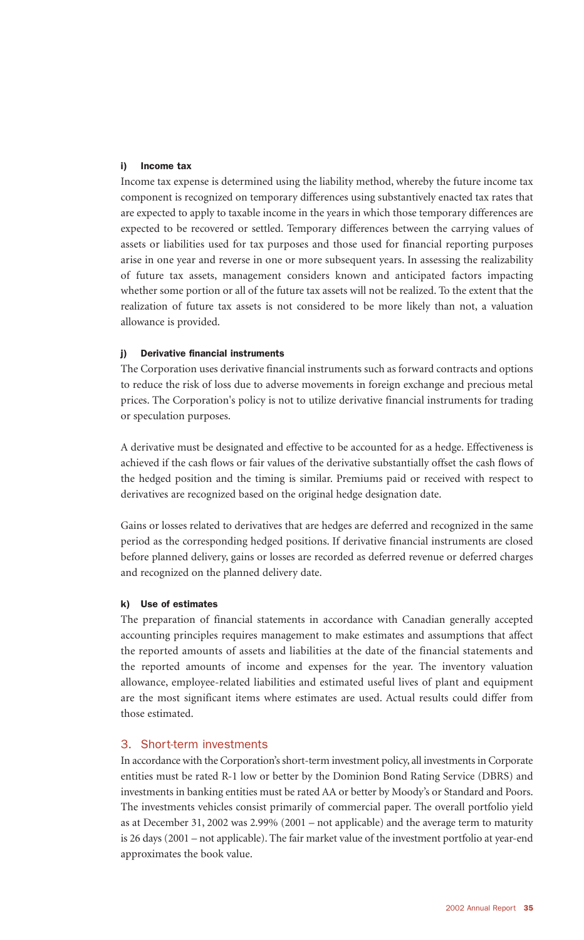#### i) Income tax

Income tax expense is determined using the liability method, whereby the future income tax component is recognized on temporary differences using substantively enacted tax rates that are expected to apply to taxable income in the years in which those temporary differences are expected to be recovered or settled. Temporary differences between the carrying values of assets or liabilities used for tax purposes and those used for financial reporting purposes arise in one year and reverse in one or more subsequent years. In assessing the realizability of future tax assets, management considers known and anticipated factors impacting whether some portion or all of the future tax assets will not be realized. To the extent that the realization of future tax assets is not considered to be more likely than not, a valuation allowance is provided.

#### j) Derivative financial instruments

The Corporation uses derivative financial instruments such as forward contracts and options to reduce the risk of loss due to adverse movements in foreign exchange and precious metal prices. The Corporation's policy is not to utilize derivative financial instruments for trading or speculation purposes.

A derivative must be designated and effective to be accounted for as a hedge. Effectiveness is achieved if the cash flows or fair values of the derivative substantially offset the cash flows of the hedged position and the timing is similar. Premiums paid or received with respect to derivatives are recognized based on the original hedge designation date.

Gains or losses related to derivatives that are hedges are deferred and recognized in the same period as the corresponding hedged positions. If derivative financial instruments are closed before planned delivery, gains or losses are recorded as deferred revenue or deferred charges and recognized on the planned delivery date.

#### k) Use of estimates

The preparation of financial statements in accordance with Canadian generally accepted accounting principles requires management to make estimates and assumptions that affect the reported amounts of assets and liabilities at the date of the financial statements and the reported amounts of income and expenses for the year. The inventory valuation allowance, employee-related liabilities and estimated useful lives of plant and equipment are the most significant items where estimates are used. Actual results could differ from those estimated.

#### 3. Short-term investments

In accordance with the Corporation's short-term investment policy, all investments in Corporate entities must be rated R-1 low or better by the Dominion Bond Rating Service (DBRS) and investments in banking entities must be rated AA or better by Moody's or Standard and Poors. The investments vehicles consist primarily of commercial paper. The overall portfolio yield as at December 31, 2002 was 2.99% (2001 – not applicable) and the average term to maturity is 26 days (2001 – not applicable). The fair market value of the investment portfolio at year-end approximates the book value.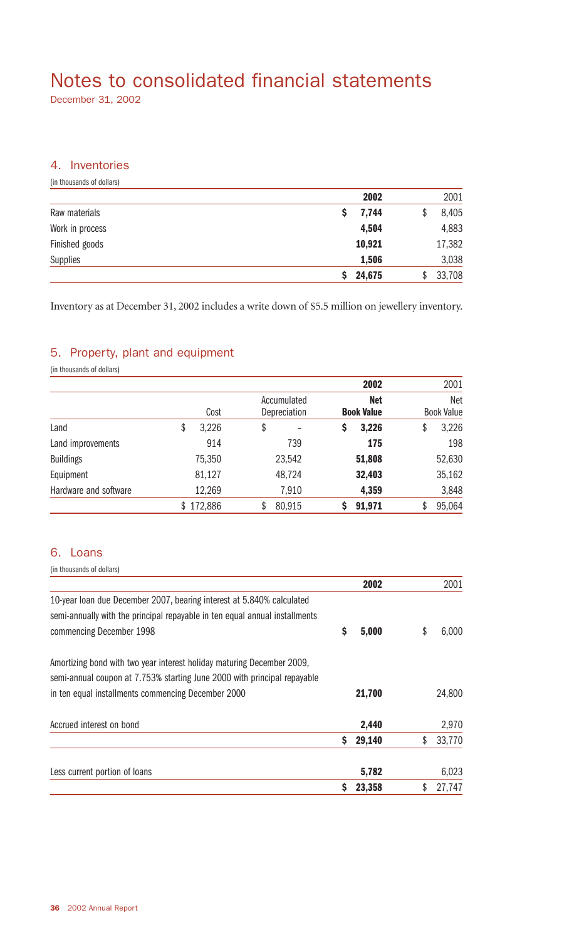## Notes to consolidated financial statements

December 31, 2002

#### 4. Inventories

(in thousands of dollars)

|                 | 2002         | 2001   |
|-----------------|--------------|--------|
| Raw materials   | 7,744        | 8,405  |
| Work in process | 4,504        | 4,883  |
| Finished goods  | 10,921       | 17,382 |
| Supplies        | 1,506        | 3,038  |
|                 | 24,675<br>S. | 33,708 |

Inventory as at December 31, 2002 includes a write down of \$5.5 million on jewellery inventory.

#### 5. Property, plant and equipment

(in thousands of dollars)

|                       |      |           |                             |   | 2002                            |    | 2001                            |
|-----------------------|------|-----------|-----------------------------|---|---------------------------------|----|---------------------------------|
|                       | Cost |           | Accumulated<br>Depreciation |   | <b>Net</b><br><b>Book Value</b> |    | <b>Net</b><br><b>Book Value</b> |
| Land                  | \$   | 3,226     | \$                          | Ş | 3,226                           | \$ | 3,226                           |
| Land improvements     |      | 914       | 739                         |   | 175                             |    | 198                             |
| <b>Buildings</b>      |      | 75,350    | 23,542                      |   | 51,808                          |    | 52,630                          |
| Equipment             |      | 81,127    | 48,724                      |   | 32,403                          |    | 35,162                          |
| Hardware and software |      | 12,269    | 7,910                       |   | 4,359                           |    | 3,848                           |
|                       |      | \$172,886 | \$<br>80,915                |   | 91,971                          |    | 95,064                          |

#### 6. Loans

(in thousands of dollars) **2002** 2001 10-year loan due December 2007, bearing interest at 5.840% calculated semi-annually with the principal repayable in ten equal annual installments commencing December 1998 **\$ 5,000** \$ 6,000 Amortizing bond with two year interest holiday maturing December 2009, semi-annual coupon at 7.753% starting June 2000 with principal repayable in ten equal installments commencing December 2000 **21,700** 24,800 Accrued interest on bond **2,970 2,970 \$ 29,140** \$ 33,770 Less current portion of loans **5,782** 6,023 **\$ 23,358** \$ 27,747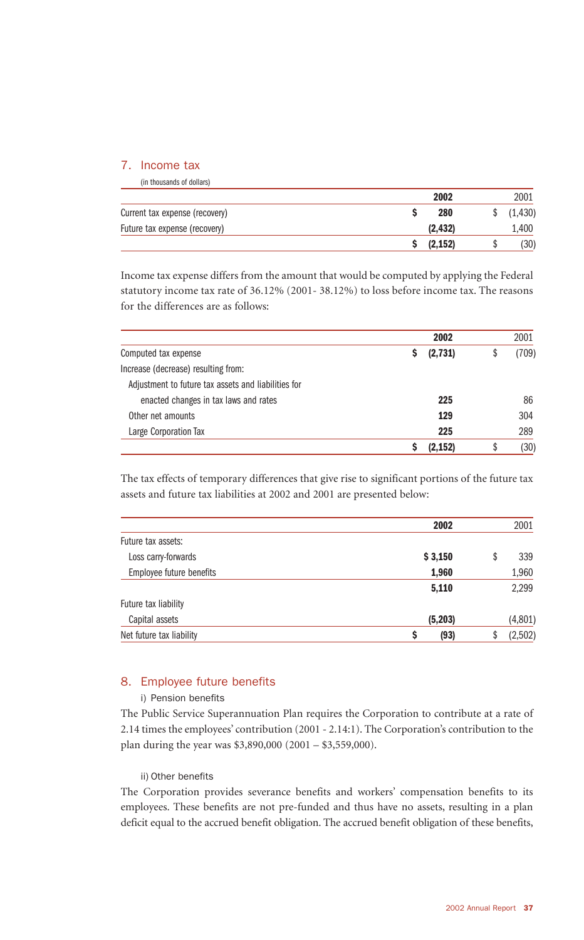#### 7. Income tax

| (in thousands of dollars)      |          |    |          |
|--------------------------------|----------|----|----------|
|                                | 2002     |    | 2001     |
| Current tax expense (recovery) | 280      |    | (1, 430) |
| Future tax expense (recovery)  | (2.432)  |    | 1,400    |
|                                | (2, 152) | J, | (30)     |

Income tax expense differs from the amount that would be computed by applying the Federal statutory income tax rate of 36.12% (2001- 38.12%) to loss before income tax. The reasons for the differences are as follows:

|                                                     | 2002     | 2001        |
|-----------------------------------------------------|----------|-------------|
| Computed tax expense                                | (2,731)  | (709)<br>\$ |
| Increase (decrease) resulting from:                 |          |             |
| Adjustment to future tax assets and liabilities for |          |             |
| enacted changes in tax laws and rates               | 225      | 86          |
| Other net amounts                                   | 129      | 304         |
| Large Corporation Tax                               | 225      | 289         |
|                                                     | (2, 152) | (30)<br>\$  |

The tax effects of temporary differences that give rise to significant portions of the future tax assets and future tax liabilities at 2002 and 2001 are presented below:

| 339     |
|---------|
| 1,960   |
| 2,299   |
|         |
| (4,801) |
| (2,502) |
|         |

#### 8. Employee future benefits

#### i) Pension benefits

The Public Service Superannuation Plan requires the Corporation to contribute at a rate of 2.14 times the employees' contribution (2001 - 2.14:1). The Corporation's contribution to the plan during the year was \$3,890,000 (2001 – \$3,559,000).

#### ii) Other benefits

The Corporation provides severance benefits and workers' compensation benefits to its employees. These benefits are not pre-funded and thus have no assets, resulting in a plan deficit equal to the accrued benefit obligation. The accrued benefit obligation of these benefits,